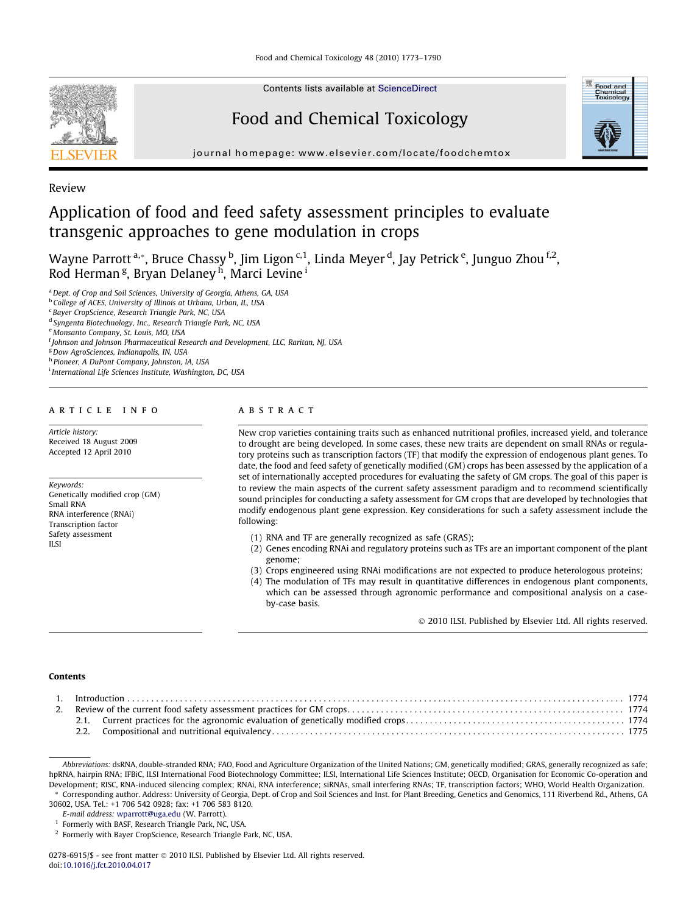

Contents lists available at [ScienceDirect](http://www.sciencedirect.com/science/journal/02786915)

# Food and Chemical Toxicology



journal homepage: [www.elsevier.com/locate/foodchemtox](http://www.elsevier.com/locate/foodchemtox)

# Review

# Application of food and feed safety assessment principles to evaluate transgenic approaches to gene modulation in crops

Wayne Parrott <sup>a,</sup>\*, Bruce Chassy <sup>b</sup>, Jim Ligon <sup>c, 1</sup>, Linda Meyer <sup>d</sup>, Jay Petrick <sup>e</sup>, Junguo Zhou <sup>f,2</sup>, Rod Herman<sup>g</sup>, Bryan Delaney <sup>h</sup>, Marci Levine <sup>i</sup>

<sup>a</sup> Dept. of Crop and Soil Sciences, University of Georgia, Athens, GA, USA **b College of ACES, University of Illinois at Urbana, Urban, IL, USA** 

<sup>c</sup> Bayer CropScience, Research Triangle Park, NC, USA

<sup>d</sup> Syngenta Biotechnology, Inc., Research Triangle Park, NC, USA

<sup>e</sup> Monsanto Company, St. Louis, MO, USA

f Johnson and Johnson Pharmaceutical Research and Development, LLC, Raritan, NJ, USA

<sup>g</sup> Dow AgroSciences, Indianapolis, IN, USA

<sup>h</sup> Pioneer, A DuPont Company, Johnston, IA, USA

i International Life Sciences Institute, Washington, DC, USA

#### article info

Article history: Received 18 August 2009 Accepted 12 April 2010

Keywords: Genetically modified crop (GM) Small RNA RNA interference (RNAi) Transcription factor Safety assessment ILSI

#### **ABSTRACT**

New crop varieties containing traits such as enhanced nutritional profiles, increased yield, and tolerance to drought are being developed. In some cases, these new traits are dependent on small RNAs or regulatory proteins such as transcription factors (TF) that modify the expression of endogenous plant genes. To date, the food and feed safety of genetically modified (GM) crops has been assessed by the application of a set of internationally accepted procedures for evaluating the safety of GM crops. The goal of this paper is to review the main aspects of the current safety assessment paradigm and to recommend scientifically sound principles for conducting a safety assessment for GM crops that are developed by technologies that modify endogenous plant gene expression. Key considerations for such a safety assessment include the following:

- (1) RNA and TF are generally recognized as safe (GRAS);
- (2) Genes encoding RNAi and regulatory proteins such as TFs are an important component of the plant genome;
- (3) Crops engineered using RNAi modifications are not expected to produce heterologous proteins;
- (4) The modulation of TFs may result in quantitative differences in endogenous plant components, which can be assessed through agronomic performance and compositional analysis on a caseby-case basis.

- 2010 ILSI. Published by Elsevier Ltd. All rights reserved.

#### **Contents**

Abbreviations: dsRNA, double-stranded RNA; FAO, Food and Agriculture Organization of the United Nations; GM, genetically modified; GRAS, generally recognized as safe; hpRNA, hairpin RNA; IFBiC, ILSI International Food Biotechnology Committee; ILSI, International Life Sciences Institute; OECD, Organisation for Economic Co-operation and Development; RISC, RNA-induced silencing complex; RNAi, RNA interference; siRNAs, small interfering RNAs; TF, transcription factors; WHO, World Health Organization. \* Corresponding author. Address: University of Georgia, Dept. of Crop and Soil Sciences and Inst. for Plant Breeding, Genetics and Genomics, 111 Riverbend Rd., Athens, GA

30602, USA. Tel.: +1 706 542 0928; fax: +1 706 583 8120.

E-mail address: [wparrott@uga.edu](mailto:wparrott@uga.edu) (W. Parrott).

Formerly with BASF, Research Triangle Park, NC, USA.

<sup>2</sup> Formerly with Bayer CropScience, Research Triangle Park, NC, USA.

0278-6915/\$ - see front matter © 2010 ILSI. Published by Elsevier Ltd. All rights reserved. doi[:10.1016/j.fct.2010.04.017](http://dx.doi.org/10.1016/j.fct.2010.04.017)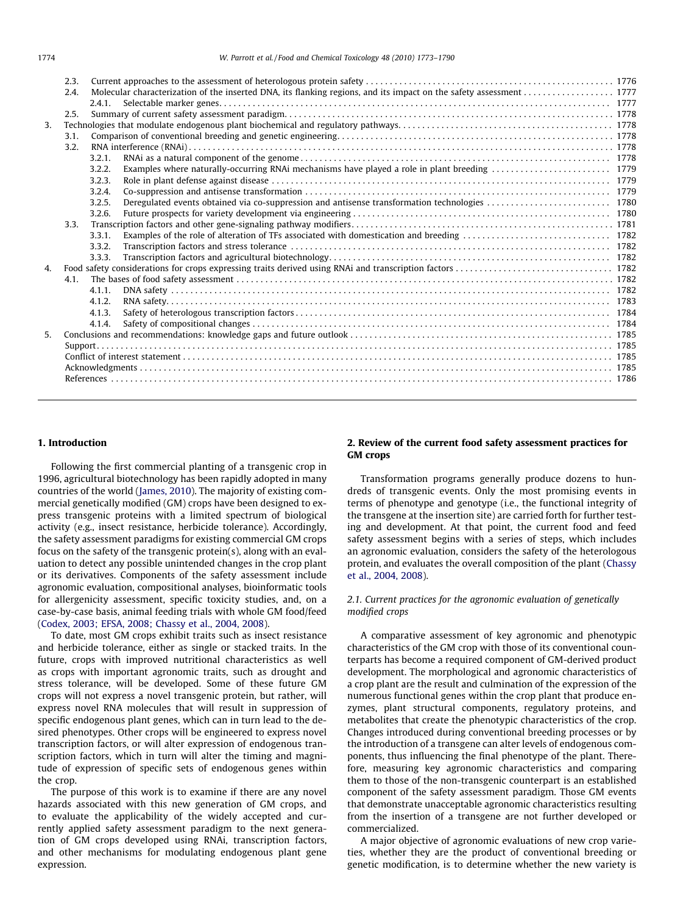|      | 2.3. |        |  |  |  |  |
|------|------|--------|--|--|--|--|
|      | 2.4. |        |  |  |  |  |
|      |      |        |  |  |  |  |
|      | 2.5. |        |  |  |  |  |
| 3.   |      |        |  |  |  |  |
|      | 3.1. |        |  |  |  |  |
|      | 3.2. |        |  |  |  |  |
|      |      | 3.2.1. |  |  |  |  |
|      |      | 3.2.2. |  |  |  |  |
|      |      | 3.2.3. |  |  |  |  |
|      |      | 3.2.4. |  |  |  |  |
|      |      | 3.2.5. |  |  |  |  |
|      |      | 3.2.6. |  |  |  |  |
|      | 3.3. |        |  |  |  |  |
|      |      | 3.3.1. |  |  |  |  |
|      |      | 3.3.2. |  |  |  |  |
|      |      | 3.3.3. |  |  |  |  |
| 4.   |      |        |  |  |  |  |
| 4.1. |      |        |  |  |  |  |
|      |      | 4.1.1. |  |  |  |  |
|      |      | 4.1.2. |  |  |  |  |
|      |      | 4.1.3. |  |  |  |  |
|      |      | 4.1.4. |  |  |  |  |
| 5.   |      |        |  |  |  |  |
|      |      |        |  |  |  |  |
|      |      |        |  |  |  |  |
|      |      |        |  |  |  |  |
|      |      |        |  |  |  |  |
|      |      |        |  |  |  |  |

## 1. Introduction

Following the first commercial planting of a transgenic crop in 1996, agricultural biotechnology has been rapidly adopted in many countries of the world ([James, 2010\)](#page-14-0). The majority of existing commercial genetically modified (GM) crops have been designed to express transgenic proteins with a limited spectrum of biological activity (e.g., insect resistance, herbicide tolerance). Accordingly, the safety assessment paradigms for existing commercial GM crops focus on the safety of the transgenic protein(s), along with an evaluation to detect any possible unintended changes in the crop plant or its derivatives. Components of the safety assessment include agronomic evaluation, compositional analyses, bioinformatic tools for allergenicity assessment, specific toxicity studies, and, on a case-by-case basis, animal feeding trials with whole GM food/feed ([Codex, 2003; EFSA, 2008; Chassy et al., 2004, 2008](#page-13-0)).

To date, most GM crops exhibit traits such as insect resistance and herbicide tolerance, either as single or stacked traits. In the future, crops with improved nutritional characteristics as well as crops with important agronomic traits, such as drought and stress tolerance, will be developed. Some of these future GM crops will not express a novel transgenic protein, but rather, will express novel RNA molecules that will result in suppression of specific endogenous plant genes, which can in turn lead to the desired phenotypes. Other crops will be engineered to express novel transcription factors, or will alter expression of endogenous transcription factors, which in turn will alter the timing and magnitude of expression of specific sets of endogenous genes within the crop.

The purpose of this work is to examine if there are any novel hazards associated with this new generation of GM crops, and to evaluate the applicability of the widely accepted and currently applied safety assessment paradigm to the next generation of GM crops developed using RNAi, transcription factors, and other mechanisms for modulating endogenous plant gene expression.

# 2. Review of the current food safety assessment practices for GM crops

Transformation programs generally produce dozens to hundreds of transgenic events. Only the most promising events in terms of phenotype and genotype (i.e., the functional integrity of the transgene at the insertion site) are carried forth for further testing and development. At that point, the current food and feed safety assessment begins with a series of steps, which includes an agronomic evaluation, considers the safety of the heterologous protein, and evaluates the overall composition of the plant ([Chassy](#page-13-0) [et al., 2004, 2008](#page-13-0)).

## 2.1. Current practices for the agronomic evaluation of genetically modified crops

A comparative assessment of key agronomic and phenotypic characteristics of the GM crop with those of its conventional counterparts has become a required component of GM-derived product development. The morphological and agronomic characteristics of a crop plant are the result and culmination of the expression of the numerous functional genes within the crop plant that produce enzymes, plant structural components, regulatory proteins, and metabolites that create the phenotypic characteristics of the crop. Changes introduced during conventional breeding processes or by the introduction of a transgene can alter levels of endogenous components, thus influencing the final phenotype of the plant. Therefore, measuring key agronomic characteristics and comparing them to those of the non-transgenic counterpart is an established component of the safety assessment paradigm. Those GM events that demonstrate unacceptable agronomic characteristics resulting from the insertion of a transgene are not further developed or commercialized.

A major objective of agronomic evaluations of new crop varieties, whether they are the product of conventional breeding or genetic modification, is to determine whether the new variety is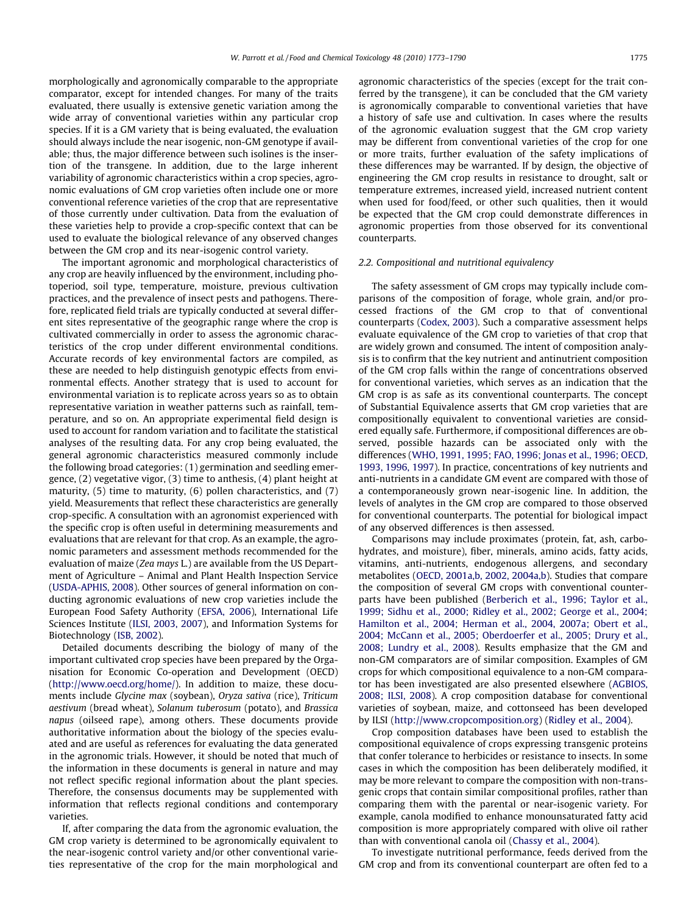morphologically and agronomically comparable to the appropriate comparator, except for intended changes. For many of the traits evaluated, there usually is extensive genetic variation among the wide array of conventional varieties within any particular crop species. If it is a GM variety that is being evaluated, the evaluation should always include the near isogenic, non-GM genotype if available; thus, the major difference between such isolines is the insertion of the transgene. In addition, due to the large inherent variability of agronomic characteristics within a crop species, agronomic evaluations of GM crop varieties often include one or more conventional reference varieties of the crop that are representative of those currently under cultivation. Data from the evaluation of these varieties help to provide a crop-specific context that can be used to evaluate the biological relevance of any observed changes between the GM crop and its near-isogenic control variety.

The important agronomic and morphological characteristics of any crop are heavily influenced by the environment, including photoperiod, soil type, temperature, moisture, previous cultivation practices, and the prevalence of insect pests and pathogens. Therefore, replicated field trials are typically conducted at several different sites representative of the geographic range where the crop is cultivated commercially in order to assess the agronomic characteristics of the crop under different environmental conditions. Accurate records of key environmental factors are compiled, as these are needed to help distinguish genotypic effects from environmental effects. Another strategy that is used to account for environmental variation is to replicate across years so as to obtain representative variation in weather patterns such as rainfall, temperature, and so on. An appropriate experimental field design is used to account for random variation and to facilitate the statistical analyses of the resulting data. For any crop being evaluated, the general agronomic characteristics measured commonly include the following broad categories: (1) germination and seedling emergence, (2) vegetative vigor, (3) time to anthesis, (4) plant height at maturity, (5) time to maturity, (6) pollen characteristics, and (7) yield. Measurements that reflect these characteristics are generally crop-specific. A consultation with an agronomist experienced with the specific crop is often useful in determining measurements and evaluations that are relevant for that crop. As an example, the agronomic parameters and assessment methods recommended for the evaluation of maize (Zea mays L.) are available from the US Department of Agriculture – Animal and Plant Health Inspection Service ([USDA-APHIS, 2008](#page-16-0)). Other sources of general information on conducting agronomic evaluations of new crop varieties include the European Food Safety Authority ([EFSA, 2006](#page-14-0)), International Life Sciences Institute [\(ILSI, 2003, 2007](#page-14-0)), and Information Systems for Biotechnology ([ISB, 2002](#page-14-0)).

Detailed documents describing the biology of many of the important cultivated crop species have been prepared by the Organisation for Economic Co-operation and Development (OECD) (<http://www.oecd.org/home/>). In addition to maize, these documents include Glycine max (soybean), Oryza sativa (rice), Triticum aestivum (bread wheat), Solanum tuberosum (potato), and Brassica napus (oilseed rape), among others. These documents provide authoritative information about the biology of the species evaluated and are useful as references for evaluating the data generated in the agronomic trials. However, it should be noted that much of the information in these documents is general in nature and may not reflect specific regional information about the plant species. Therefore, the consensus documents may be supplemented with information that reflects regional conditions and contemporary varieties.

If, after comparing the data from the agronomic evaluation, the GM crop variety is determined to be agronomically equivalent to the near-isogenic control variety and/or other conventional varieties representative of the crop for the main morphological and agronomic characteristics of the species (except for the trait conferred by the transgene), it can be concluded that the GM variety is agronomically comparable to conventional varieties that have a history of safe use and cultivation. In cases where the results of the agronomic evaluation suggest that the GM crop variety may be different from conventional varieties of the crop for one or more traits, further evaluation of the safety implications of these differences may be warranted. If by design, the objective of engineering the GM crop results in resistance to drought, salt or temperature extremes, increased yield, increased nutrient content when used for food/feed, or other such qualities, then it would be expected that the GM crop could demonstrate differences in agronomic properties from those observed for its conventional counterparts.

#### 2.2. Compositional and nutritional equivalency

The safety assessment of GM crops may typically include comparisons of the composition of forage, whole grain, and/or processed fractions of the GM crop to that of conventional counterparts [\(Codex, 2003\)](#page-13-0). Such a comparative assessment helps evaluate equivalence of the GM crop to varieties of that crop that are widely grown and consumed. The intent of composition analysis is to confirm that the key nutrient and antinutrient composition of the GM crop falls within the range of concentrations observed for conventional varieties, which serves as an indication that the GM crop is as safe as its conventional counterparts. The concept of Substantial Equivalence asserts that GM crop varieties that are compositionally equivalent to conventional varieties are considered equally safe. Furthermore, if compositional differences are observed, possible hazards can be associated only with the differences ([WHO, 1991, 1995; FAO, 1996; Jonas et al., 1996; OECD,](#page-17-0) [1993, 1996, 1997](#page-17-0)). In practice, concentrations of key nutrients and anti-nutrients in a candidate GM event are compared with those of a contemporaneously grown near-isogenic line. In addition, the levels of analytes in the GM crop are compared to those observed for conventional counterparts. The potential for biological impact of any observed differences is then assessed.

Comparisons may include proximates (protein, fat, ash, carbohydrates, and moisture), fiber, minerals, amino acids, fatty acids, vitamins, anti-nutrients, endogenous allergens, and secondary metabolites ([OECD, 2001a,b, 2002, 2004a,b](#page-15-0)). Studies that compare the composition of several GM crops with conventional counterparts have been published [\(Berberich et al., 1996; Taylor et al.,](#page-13-0) [1999; Sidhu et al., 2000; Ridley et al., 2002; George et al., 2004;](#page-13-0) [Hamilton et al., 2004; Herman et al., 2004, 2007a; Obert et al.,](#page-13-0) [2004; McCann et al., 2005; Oberdoerfer et al., 2005; Drury et al.,](#page-13-0) [2008; Lundry et al., 2008](#page-13-0)). Results emphasize that the GM and non-GM comparators are of similar composition. Examples of GM crops for which compositional equivalence to a non-GM comparator has been investigated are also presented elsewhere ([AGBIOS,](#page-13-0) [2008; ILSI, 2008\)](#page-13-0). A crop composition database for conventional varieties of soybean, maize, and cottonseed has been developed by ILSI ([http://www.cropcomposition.org\)](http://www.cropcomposition.org) [\(Ridley et al., 2004\)](#page-16-0).

Crop composition databases have been used to establish the compositional equivalence of crops expressing transgenic proteins that confer tolerance to herbicides or resistance to insects. In some cases in which the composition has been deliberately modified, it may be more relevant to compare the composition with non-transgenic crops that contain similar compositional profiles, rather than comparing them with the parental or near-isogenic variety. For example, canola modified to enhance monounsaturated fatty acid composition is more appropriately compared with olive oil rather than with conventional canola oil [\(Chassy et al., 2004\)](#page-13-0).

To investigate nutritional performance, feeds derived from the GM crop and from its conventional counterpart are often fed to a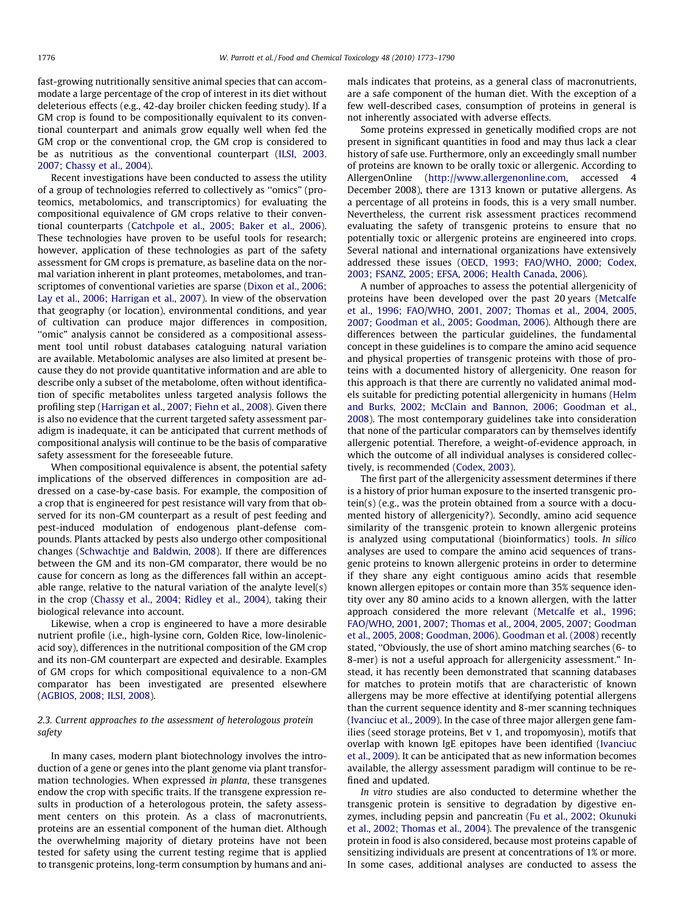fast-growing nutritionally sensitive animal species that can accommodate a large percentage of the crop of interest in its diet without deleterious effects (e.g., 42-day broiler chicken feeding study). If a GM crop is found to be compositionally equivalent to its conventional counterpart and animals grow equally well when fed the GM crop or the conventional crop, the GM crop is considered to be as nutritious as the conventional counterpart [\(ILSI, 2003.](#page-14-0) [2007; Chassy et al., 2004\)](#page-14-0).

Recent investigations have been conducted to assess the utility of a group of technologies referred to collectively as ''omics" (proteomics, metabolomics, and transcriptomics) for evaluating the compositional equivalence of GM crops relative to their conventional counterparts [\(Catchpole et al., 2005; Baker et al., 2006\)](#page-13-0). These technologies have proven to be useful tools for research; however, application of these technologies as part of the safety assessment for GM crops is premature, as baseline data on the normal variation inherent in plant proteomes, metabolomes, and transcriptomes of conventional varieties are sparse ([Dixon et al., 2006;](#page-13-0) [Lay et al., 2006; Harrigan et al., 2007](#page-13-0)). In view of the observation that geography (or location), environmental conditions, and year of cultivation can produce major differences in composition, ''omic" analysis cannot be considered as a compositional assessment tool until robust databases cataloguing natural variation are available. Metabolomic analyses are also limited at present because they do not provide quantitative information and are able to describe only a subset of the metabolome, often without identification of specific metabolites unless targeted analysis follows the profiling step ([Harrigan et al., 2007; Fiehn et al., 2008\)](#page-14-0). Given there is also no evidence that the current targeted safety assessment paradigm is inadequate, it can be anticipated that current methods of compositional analysis will continue to be the basis of comparative safety assessment for the foreseeable future.

When compositional equivalence is absent, the potential safety implications of the observed differences in composition are addressed on a case-by-case basis. For example, the composition of a crop that is engineered for pest resistance will vary from that observed for its non-GM counterpart as a result of pest feeding and pest-induced modulation of endogenous plant-defense compounds. Plants attacked by pests also undergo other compositional changes [\(Schwachtje and Baldwin, 2008\)](#page-16-0). If there are differences between the GM and its non-GM comparator, there would be no cause for concern as long as the differences fall within an acceptable range, relative to the natural variation of the analyte level(s) in the crop ([Chassy et al., 2004; Ridley et al., 2004\)](#page-13-0), taking their biological relevance into account.

Likewise, when a crop is engineered to have a more desirable nutrient profile (i.e., high-lysine corn, Golden Rice, low-linolenicacid soy), differences in the nutritional composition of the GM crop and its non-GM counterpart are expected and desirable. Examples of GM crops for which compositional equivalence to a non-GM comparator has been investigated are presented elsewhere ([AGBIOS, 2008; ILSI, 2008](#page-13-0)).

# 2.3. Current approaches to the assessment of heterologous protein safety

In many cases, modern plant biotechnology involves the introduction of a gene or genes into the plant genome via plant transformation technologies. When expressed in planta, these transgenes endow the crop with specific traits. If the transgene expression results in production of a heterologous protein, the safety assessment centers on this protein. As a class of macronutrients, proteins are an essential component of the human diet. Although the overwhelming majority of dietary proteins have not been tested for safety using the current testing regime that is applied to transgenic proteins, long-term consumption by humans and animals indicates that proteins, as a general class of macronutrients, are a safe component of the human diet. With the exception of a few well-described cases, consumption of proteins in general is not inherently associated with adverse effects.

Some proteins expressed in genetically modified crops are not present in significant quantities in food and may thus lack a clear history of safe use. Furthermore, only an exceedingly small number of proteins are known to be orally toxic or allergenic. According to AllergenOnline [\(http://www.allergenonline.com,](http://www.allergenonline.com) accessed 4 December 2008), there are 1313 known or putative allergens. As a percentage of all proteins in foods, this is a very small number. Nevertheless, the current risk assessment practices recommend evaluating the safety of transgenic proteins to ensure that no potentially toxic or allergenic proteins are engineered into crops. Several national and international organizations have extensively addressed these issues [\(OECD, 1993; FAO/WHO, 2000; Codex,](#page-15-0) [2003; FSANZ, 2005; EFSA, 2006; Health Canada, 2006](#page-15-0)).

A number of approaches to assess the potential allergenicity of proteins have been developed over the past 20 years [\(Metcalfe](#page-15-0) [et al., 1996; FAO/WHO, 2001, 2007; Thomas et al., 2004, 2005,](#page-15-0) 2007; Goodman [et al., 2005; Goodman, 2006](#page-15-0)). Although there are differences between the particular guidelines, the fundamental concept in these guidelines is to compare the amino acid sequence and physical properties of transgenic proteins with those of proteins with a documented history of allergenicity. One reason for this approach is that there are currently no validated animal models suitable for predicting potential allergenicity in humans [\(Helm](#page-14-0) [and Burks, 2002; McClain and Bannon, 2006; Goodman et al.,](#page-14-0) [2008\)](#page-14-0). The most contemporary guidelines take into consideration that none of the particular comparators can by themselves identify allergenic potential. Therefore, a weight-of-evidence approach, in which the outcome of all individual analyses is considered collectively, is recommended [\(Codex, 2003\)](#page-13-0).

The first part of the allergenicity assessment determines if there is a history of prior human exposure to the inserted transgenic protein(s) (e.g., was the protein obtained from a source with a documented history of allergenicity?). Secondly, amino acid sequence similarity of the transgenic protein to known allergenic proteins is analyzed using computational (bioinformatics) tools. In silico analyses are used to compare the amino acid sequences of transgenic proteins to known allergenic proteins in order to determine if they share any eight contiguous amino acids that resemble known allergen epitopes or contain more than 35% sequence identity over any 80 amino acids to a known allergen, with the latter approach considered the more relevant ([Metcalfe et al., 1996;](#page-15-0) [FAO/WHO, 2001, 2007; Thomas et al., 2004, 2005, 2007; Goodman](#page-15-0) [et al., 2005, 2008; Goodman, 2006\)](#page-15-0). [Goodman et al. \(2008\)](#page-14-0) recently stated, ''Obviously, the use of short amino matching searches (6- to 8-mer) is not a useful approach for allergenicity assessment." Instead, it has recently been demonstrated that scanning databases for matches to protein motifs that are characteristic of known allergens may be more effective at identifying potential allergens than the current sequence identity and 8-mer scanning techniques ([Ivanciuc et al., 2009\)](#page-14-0). In the case of three major allergen gene families (seed storage proteins, Bet v 1, and tropomyosin), motifs that overlap with known IgE epitopes have been identified [\(Ivanciuc](#page-14-0) [et al., 2009](#page-14-0)). It can be anticipated that as new information becomes available, the allergy assessment paradigm will continue to be refined and updated.

In vitro studies are also conducted to determine whether the transgenic protein is sensitive to degradation by digestive enzymes, including pepsin and pancreatin [\(Fu et al., 2002; Okunuki](#page-14-0) [et al., 2002; Thomas et al., 2004](#page-14-0)). The prevalence of the transgenic protein in food is also considered, because most proteins capable of sensitizing individuals are present at concentrations of 1% or more. In some cases, additional analyses are conducted to assess the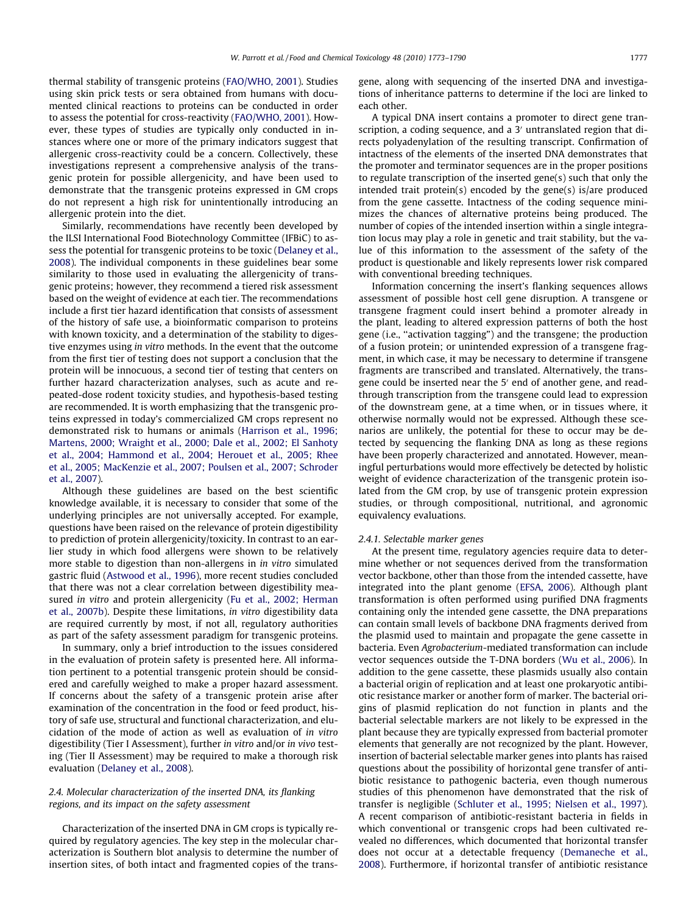thermal stability of transgenic proteins ([FAO/WHO, 2001\)](#page-14-0). Studies using skin prick tests or sera obtained from humans with documented clinical reactions to proteins can be conducted in order to assess the potential for cross-reactivity ([FAO/WHO, 2001\)](#page-14-0). However, these types of studies are typically only conducted in instances where one or more of the primary indicators suggest that allergenic cross-reactivity could be a concern. Collectively, these investigations represent a comprehensive analysis of the transgenic protein for possible allergenicity, and have been used to demonstrate that the transgenic proteins expressed in GM crops do not represent a high risk for unintentionally introducing an allergenic protein into the diet.

Similarly, recommendations have recently been developed by the ILSI International Food Biotechnology Committee (IFBiC) to assess the potential for transgenic proteins to be toxic [\(Delaney et al.,](#page-13-0) [2008](#page-13-0)). The individual components in these guidelines bear some similarity to those used in evaluating the allergenicity of transgenic proteins; however, they recommend a tiered risk assessment based on the weight of evidence at each tier. The recommendations include a first tier hazard identification that consists of assessment of the history of safe use, a bioinformatic comparison to proteins with known toxicity, and a determination of the stability to digestive enzymes using in vitro methods. In the event that the outcome from the first tier of testing does not support a conclusion that the protein will be innocuous, a second tier of testing that centers on further hazard characterization analyses, such as acute and repeated-dose rodent toxicity studies, and hypothesis-based testing are recommended. It is worth emphasizing that the transgenic proteins expressed in today's commercialized GM crops represent no demonstrated risk to humans or animals ([Harrison et al., 1996;](#page-14-0) [Martens, 2000; Wraight et al., 2000; Dale et al., 2002; El Sanhoty](#page-14-0) [et al., 2004; Hammond et al., 2004; Herouet et al., 2005; Rhee](#page-14-0) [et al., 2005; MacKenzie et al., 2007; Poulsen et al., 2007; Schroder](#page-14-0) [et al., 2007\)](#page-14-0).

Although these guidelines are based on the best scientific knowledge available, it is necessary to consider that some of the underlying principles are not universally accepted. For example, questions have been raised on the relevance of protein digestibility to prediction of protein allergenicity/toxicity. In contrast to an earlier study in which food allergens were shown to be relatively more stable to digestion than non-allergens in in vitro simulated gastric fluid ([Astwood et al., 1996](#page-13-0)), more recent studies concluded that there was not a clear correlation between digestibility measured in vitro and protein allergenicity [\(Fu et al., 2002; Herman](#page-14-0) [et al., 2007b](#page-14-0)). Despite these limitations, in vitro digestibility data are required currently by most, if not all, regulatory authorities as part of the safety assessment paradigm for transgenic proteins.

In summary, only a brief introduction to the issues considered in the evaluation of protein safety is presented here. All information pertinent to a potential transgenic protein should be considered and carefully weighed to make a proper hazard assessment. If concerns about the safety of a transgenic protein arise after examination of the concentration in the food or feed product, history of safe use, structural and functional characterization, and elucidation of the mode of action as well as evaluation of in vitro digestibility (Tier I Assessment), further in vitro and/or in vivo testing (Tier II Assessment) may be required to make a thorough risk evaluation ([Delaney et al., 2008](#page-13-0)).

# 2.4. Molecular characterization of the inserted DNA, its flanking regions, and its impact on the safety assessment

Characterization of the inserted DNA in GM crops is typically required by regulatory agencies. The key step in the molecular characterization is Southern blot analysis to determine the number of insertion sites, of both intact and fragmented copies of the transgene, along with sequencing of the inserted DNA and investigations of inheritance patterns to determine if the loci are linked to each other.

A typical DNA insert contains a promoter to direct gene transcription, a coding sequence, and a 3<sup>'</sup> untranslated region that directs polyadenylation of the resulting transcript. Confirmation of intactness of the elements of the inserted DNA demonstrates that the promoter and terminator sequences are in the proper positions to regulate transcription of the inserted gene(s) such that only the intended trait protein(s) encoded by the gene(s) is/are produced from the gene cassette. Intactness of the coding sequence minimizes the chances of alternative proteins being produced. The number of copies of the intended insertion within a single integration locus may play a role in genetic and trait stability, but the value of this information to the assessment of the safety of the product is questionable and likely represents lower risk compared with conventional breeding techniques.

Information concerning the insert's flanking sequences allows assessment of possible host cell gene disruption. A transgene or transgene fragment could insert behind a promoter already in the plant, leading to altered expression patterns of both the host gene (i.e., ''activation tagging") and the transgene; the production of a fusion protein; or unintended expression of a transgene fragment, in which case, it may be necessary to determine if transgene fragments are transcribed and translated. Alternatively, the transgene could be inserted near the 5' end of another gene, and readthrough transcription from the transgene could lead to expression of the downstream gene, at a time when, or in tissues where, it otherwise normally would not be expressed. Although these scenarios are unlikely, the potential for these to occur may be detected by sequencing the flanking DNA as long as these regions have been properly characterized and annotated. However, meaningful perturbations would more effectively be detected by holistic weight of evidence characterization of the transgenic protein isolated from the GM crop, by use of transgenic protein expression studies, or through compositional, nutritional, and agronomic equivalency evaluations.

#### 2.4.1. Selectable marker genes

At the present time, regulatory agencies require data to determine whether or not sequences derived from the transformation vector backbone, other than those from the intended cassette, have integrated into the plant genome ([EFSA, 2006\)](#page-14-0). Although plant transformation is often performed using purified DNA fragments containing only the intended gene cassette, the DNA preparations can contain small levels of backbone DNA fragments derived from the plasmid used to maintain and propagate the gene cassette in bacteria. Even Agrobacterium-mediated transformation can include vector sequences outside the T-DNA borders [\(Wu et al., 2006](#page-17-0)). In addition to the gene cassette, these plasmids usually also contain a bacterial origin of replication and at least one prokaryotic antibiotic resistance marker or another form of marker. The bacterial origins of plasmid replication do not function in plants and the bacterial selectable markers are not likely to be expressed in the plant because they are typically expressed from bacterial promoter elements that generally are not recognized by the plant. However, insertion of bacterial selectable marker genes into plants has raised questions about the possibility of horizontal gene transfer of antibiotic resistance to pathogenic bacteria, even though numerous studies of this phenomenon have demonstrated that the risk of transfer is negligible [\(Schluter et al., 1995; Nielsen et al., 1997\)](#page-16-0). A recent comparison of antibiotic-resistant bacteria in fields in which conventional or transgenic crops had been cultivated revealed no differences, which documented that horizontal transfer does not occur at a detectable frequency ([Demaneche et al.,](#page-13-0) [2008](#page-13-0)). Furthermore, if horizontal transfer of antibiotic resistance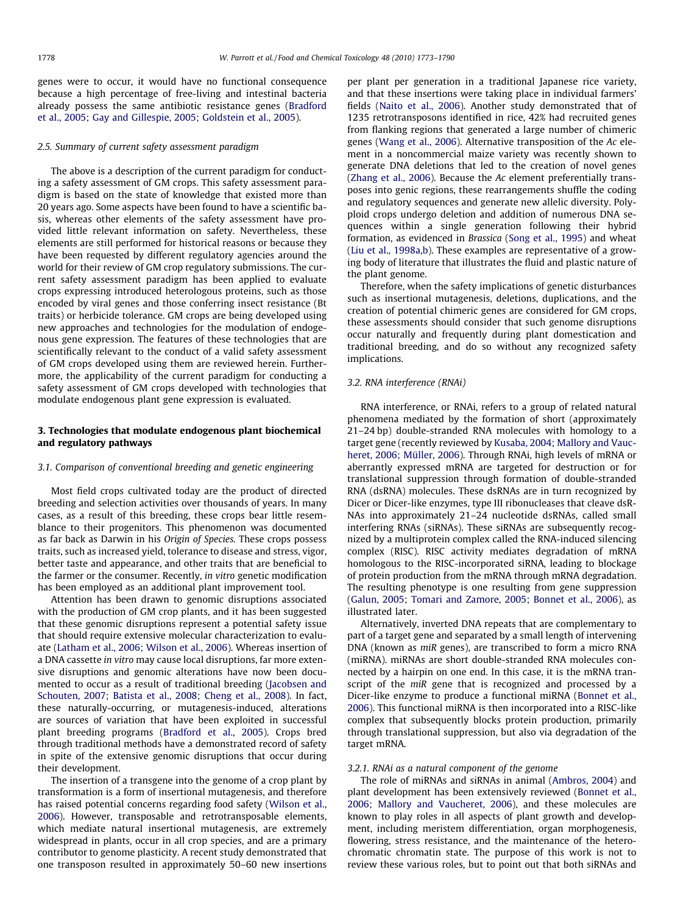genes were to occur, it would have no functional consequence because a high percentage of free-living and intestinal bacteria already possess the same antibiotic resistance genes ([Bradford](#page-13-0) [et al., 2005; Gay and Gillespie, 2005; Goldstein et al., 2005\)](#page-13-0).

#### 2.5. Summary of current safety assessment paradigm

The above is a description of the current paradigm for conducting a safety assessment of GM crops. This safety assessment paradigm is based on the state of knowledge that existed more than 20 years ago. Some aspects have been found to have a scientific basis, whereas other elements of the safety assessment have provided little relevant information on safety. Nevertheless, these elements are still performed for historical reasons or because they have been requested by different regulatory agencies around the world for their review of GM crop regulatory submissions. The current safety assessment paradigm has been applied to evaluate crops expressing introduced heterologous proteins, such as those encoded by viral genes and those conferring insect resistance (Bt traits) or herbicide tolerance. GM crops are being developed using new approaches and technologies for the modulation of endogenous gene expression. The features of these technologies that are scientifically relevant to the conduct of a valid safety assessment of GM crops developed using them are reviewed herein. Furthermore, the applicability of the current paradigm for conducting a safety assessment of GM crops developed with technologies that modulate endogenous plant gene expression is evaluated.

## 3. Technologies that modulate endogenous plant biochemical and regulatory pathways

#### 3.1. Comparison of conventional breeding and genetic engineering

Most field crops cultivated today are the product of directed breeding and selection activities over thousands of years. In many cases, as a result of this breeding, these crops bear little resemblance to their progenitors. This phenomenon was documented as far back as Darwin in his Origin of Species. These crops possess traits, such as increased yield, tolerance to disease and stress, vigor, better taste and appearance, and other traits that are beneficial to the farmer or the consumer. Recently, in vitro genetic modification has been employed as an additional plant improvement tool.

Attention has been drawn to genomic disruptions associated with the production of GM crop plants, and it has been suggested that these genomic disruptions represent a potential safety issue that should require extensive molecular characterization to evaluate ([Latham et al., 2006; Wilson et al., 2006\)](#page-15-0). Whereas insertion of a DNA cassette in vitro may cause local disruptions, far more extensive disruptions and genomic alterations have now been documented to occur as a result of traditional breeding ([Jacobsen and](#page-14-0) [Schouten, 2007; Batista et al., 2008; Cheng et al., 2008](#page-14-0)). In fact, these naturally-occurring, or mutagenesis-induced, alterations are sources of variation that have been exploited in successful plant breeding programs ([Bradford et al., 2005\)](#page-13-0). Crops bred through traditional methods have a demonstrated record of safety in spite of the extensive genomic disruptions that occur during their development.

The insertion of a transgene into the genome of a crop plant by transformation is a form of insertional mutagenesis, and therefore has raised potential concerns regarding food safety ([Wilson et al.,](#page-17-0) [2006\)](#page-17-0). However, transposable and retrotransposable elements, which mediate natural insertional mutagenesis, are extremely widespread in plants, occur in all crop species, and are a primary contributor to genome plasticity. A recent study demonstrated that one transposon resulted in approximately 50–60 new insertions per plant per generation in a traditional Japanese rice variety, and that these insertions were taking place in individual farmers' fields [\(Naito et al., 2006\)](#page-15-0). Another study demonstrated that of 1235 retrotransposons identified in rice, 42% had recruited genes from flanking regions that generated a large number of chimeric genes [\(Wang et al., 2006\)](#page-16-0). Alternative transposition of the Ac element in a noncommercial maize variety was recently shown to generate DNA deletions that led to the creation of novel genes ([Zhang et al., 2006\)](#page-17-0). Because the Ac element preferentially transposes into genic regions, these rearrangements shuffle the coding and regulatory sequences and generate new allelic diversity. Polyploid crops undergo deletion and addition of numerous DNA sequences within a single generation following their hybrid formation, as evidenced in Brassica ([Song et al., 1995](#page-16-0)) and wheat ([Liu et al., 1998a,b\)](#page-15-0). These examples are representative of a growing body of literature that illustrates the fluid and plastic nature of the plant genome.

Therefore, when the safety implications of genetic disturbances such as insertional mutagenesis, deletions, duplications, and the creation of potential chimeric genes are considered for GM crops, these assessments should consider that such genome disruptions occur naturally and frequently during plant domestication and traditional breeding, and do so without any recognized safety implications.

#### 3.2. RNA interference (RNAi)

RNA interference, or RNAi, refers to a group of related natural phenomena mediated by the formation of short (approximately 21–24 bp) double-stranded RNA molecules with homology to a target gene (recently reviewed by [Kusaba, 2004; Mallory and Vauc](#page-15-0)[heret, 2006; Müller, 2006](#page-15-0)). Through RNAi, high levels of mRNA or aberrantly expressed mRNA are targeted for destruction or for translational suppression through formation of double-stranded RNA (dsRNA) molecules. These dsRNAs are in turn recognized by Dicer or Dicer-like enzymes, type III ribonucleases that cleave dsR-NAs into approximately 21–24 nucleotide dsRNAs, called small interfering RNAs (siRNAs). These siRNAs are subsequently recognized by a multiprotein complex called the RNA-induced silencing complex (RISC). RISC activity mediates degradation of mRNA homologous to the RISC-incorporated siRNA, leading to blockage of protein production from the mRNA through mRNA degradation. The resulting phenotype is one resulting from gene suppression ([Galun, 2005; Tomari and Zamore, 2005; Bonnet et al., 2006\)](#page-14-0), as illustrated later.

Alternatively, inverted DNA repeats that are complementary to part of a target gene and separated by a small length of intervening DNA (known as miR genes), are transcribed to form a micro RNA (miRNA). miRNAs are short double-stranded RNA molecules connected by a hairpin on one end. In this case, it is the mRNA transcript of the miR gene that is recognized and processed by a Dicer-like enzyme to produce a functional miRNA ([Bonnet et al.,](#page-13-0) [2006\)](#page-13-0). This functional miRNA is then incorporated into a RISC-like complex that subsequently blocks protein production, primarily through translational suppression, but also via degradation of the target mRNA.

#### 3.2.1. RNAi as a natural component of the genome

The role of miRNAs and siRNAs in animal ([Ambros, 2004\)](#page-13-0) and plant development has been extensively reviewed ([Bonnet et al.,](#page-13-0) [2006; Mallory and Vaucheret, 2006\)](#page-13-0), and these molecules are known to play roles in all aspects of plant growth and development, including meristem differentiation, organ morphogenesis, flowering, stress resistance, and the maintenance of the heterochromatic chromatin state. The purpose of this work is not to review these various roles, but to point out that both siRNAs and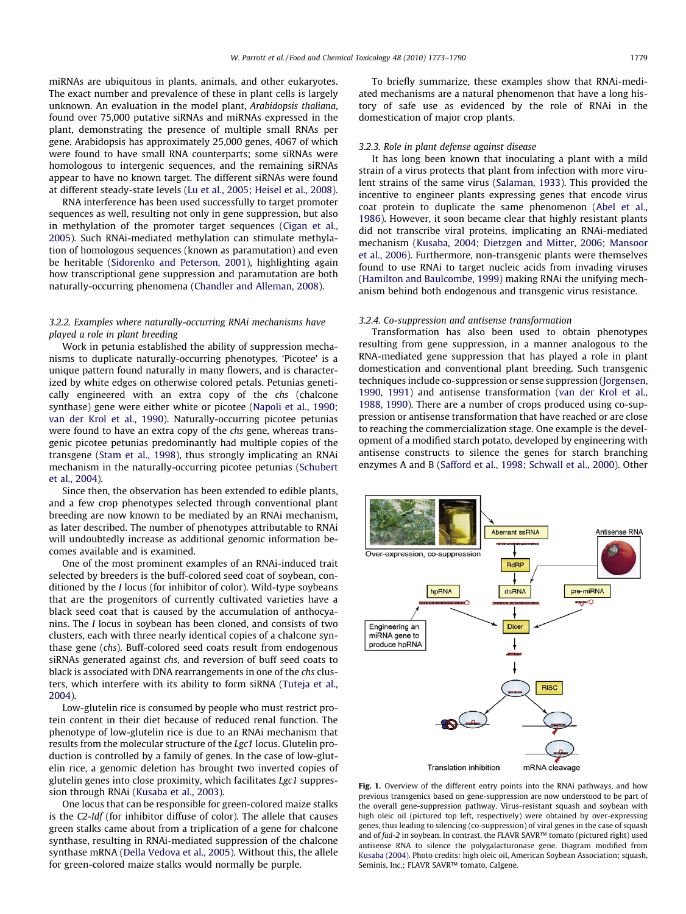<span id="page-6-0"></span>miRNAs are ubiquitous in plants, animals, and other eukaryotes. The exact number and prevalence of these in plant cells is largely unknown. An evaluation in the model plant, Arabidopsis thaliana, found over 75,000 putative siRNAs and miRNAs expressed in the plant, demonstrating the presence of multiple small RNAs per gene. Arabidopsis has approximately 25,000 genes, 4067 of which were found to have small RNA counterparts; some siRNAs were homologous to intergenic sequences, and the remaining siRNAs appear to have no known target. The different siRNAs were found at different steady-state levels ([Lu et al., 2005; Heisel et al., 2008\)](#page-15-0).

RNA interference has been used successfully to target promoter sequences as well, resulting not only in gene suppression, but also in methylation of the promoter target sequences ([Cigan et al.,](#page-13-0) [2005](#page-13-0)). Such RNAi-mediated methylation can stimulate methylation of homologous sequences (known as paramutation) and even be heritable ([Sidorenko and Peterson, 2001](#page-16-0)), highlighting again how transcriptional gene suppression and paramutation are both naturally-occurring phenomena ([Chandler and Alleman, 2008\)](#page-13-0).

# 3.2.2. Examples where naturally-occurring RNAi mechanisms have played a role in plant breeding

Work in petunia established the ability of suppression mechanisms to duplicate naturally-occurring phenotypes. 'Picotee' is a unique pattern found naturally in many flowers, and is characterized by white edges on otherwise colored petals. Petunias genetically engineered with an extra copy of the chs (chalcone synthase) gene were either white or picotee ([Napoli et al., 1990;](#page-15-0) [van der Krol et al., 1990\)](#page-15-0). Naturally-occurring picotee petunias were found to have an extra copy of the chs gene, whereas transgenic picotee petunias predominantly had multiple copies of the transgene [\(Stam et al., 1998\)](#page-16-0), thus strongly implicating an RNAi mechanism in the naturally-occurring picotee petunias [\(Schubert](#page-16-0)  $et$  al.,  $2004$ ).

Since then, the observation has been extended to edible plants, and a few crop phenotypes selected through conventional plant breeding are now known to be mediated by an RNAi mechanism, as later described. The number of phenotypes attributable to RNAi will undoubtedly increase as additional genomic information becomes available and is examined.

One of the most prominent examples of an RNAi-induced trait selected by breeders is the buff-colored seed coat of soybean, conditioned by the I locus (for inhibitor of color). Wild-type soybeans that are the progenitors of currently cultivated varieties have a black seed coat that is caused by the accumulation of anthocyanins. The I locus in soybean has been cloned, and consists of two clusters, each with three nearly identical copies of a chalcone synthase gene (chs). Buff-colored seed coats result from endogenous siRNAs generated against chs, and reversion of buff seed coats to black is associated with DNA rearrangements in one of the chs clusters, which interfere with its ability to form siRNA ([Tuteja et al.,](#page-16-0) [2004](#page-16-0)).

Low-glutelin rice is consumed by people who must restrict protein content in their diet because of reduced renal function. The phenotype of low-glutelin rice is due to an RNAi mechanism that results from the molecular structure of the Lgc1 locus. Glutelin production is controlled by a family of genes. In the case of low-glutelin rice, a genomic deletion has brought two inverted copies of glutelin genes into close proximity, which facilitates Lgc1 suppression through RNAi [\(Kusaba et al., 2003](#page-15-0)).

One locus that can be responsible for green-colored maize stalks is the C2-Idf (for inhibitor diffuse of color). The allele that causes green stalks came about from a triplication of a gene for chalcone synthase, resulting in RNAi-mediated suppression of the chalcone synthase mRNA (Della Vedova [et al., 2005\)](#page-13-0). Without this, the allele for green-colored maize stalks would normally be purple.

To briefly summarize, these examples show that RNAi-mediated mechanisms are a natural phenomenon that have a long history of safe use as evidenced by the role of RNAi in the domestication of major crop plants.

#### 3.2.3. Role in plant defense against disease

It has long been known that inoculating a plant with a mild strain of a virus protects that plant from infection with more virulent strains of the same virus [\(Salaman, 1933\)](#page-16-0). This provided the incentive to engineer plants expressing genes that encode virus coat protein to duplicate the same phenomenon ([Abel et al.,](#page-13-0) [1986\)](#page-13-0). However, it soon became clear that highly resistant plants did not transcribe viral proteins, implicating an RNAi-mediated mechanism ([Kusaba, 2004; Dietzgen and Mitter, 2006; Mansoor](#page-15-0) [et al., 2006](#page-15-0)). Furthermore, non-transgenic plants were themselves found to use RNAi to target nucleic acids from invading viruses ([Hamilton and Baulcombe, 1999\)](#page-14-0) making RNAi the unifying mechanism behind both endogenous and transgenic virus resistance.

#### 3.2.4. Co-suppression and antisense transformation

Transformation has also been used to obtain phenotypes resulting from gene suppression, in a manner analogous to the RNA-mediated gene suppression that has played a role in plant domestication and conventional plant breeding. Such transgenic techniques include co-suppression or sense suppression ([Jorgensen,](#page-14-0) [1990, 1991\)](#page-14-0) and antisense transformation ([van der Krol et al.,](#page-16-0) [1988, 1990](#page-16-0)). There are a number of crops produced using co-suppression or antisense transformation that have reached or are close to reaching the commercialization stage. One example is the development of a modified starch potato, developed by engineering with antisense constructs to silence the genes for starch branching enzymes A and B ([Safford et al., 1998; Schwall et al., 2000\)](#page-16-0). Other



Fig. 1. Overview of the different entry points into the RNAi pathways, and how previous transgenics based on gene-suppression are now understood to be part of the overall gene-suppression pathway. Virus-resistant squash and soybean with high oleic oil (pictured top left, respectively) were obtained by over-expressing genes, thus leading to silencing (co-suppression) of viral genes in the case of squash and of fad-2 in soybean. In contrast, the FLAVR SAVR™ tomato (pictured right) used antisense RNA to silence the polygalacturonase gene. Diagram modified from [Kusaba \(2004\).](#page-15-0) Photo credits: high oleic oil, American Soybean Association; squash, Seminis, Inc.; FLAVR SAVR™ tomato, Calgene.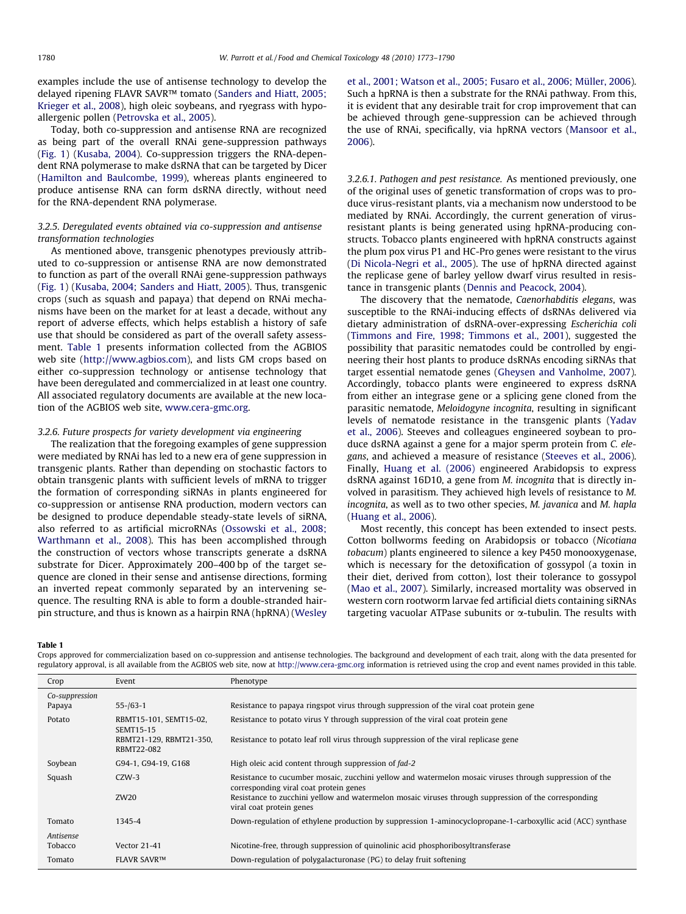<span id="page-7-0"></span>examples include the use of antisense technology to develop the delayed ripening FLAVR SAVR™ tomato [\(Sanders and Hiatt, 2005;](#page-16-0) [Krieger et al., 2008\)](#page-16-0), high oleic soybeans, and ryegrass with hypoallergenic pollen [\(Petrovska et al., 2005\)](#page-15-0).

Today, both co-suppression and antisense RNA are recognized as being part of the overall RNAi gene-suppression pathways ([Fig. 1](#page-6-0)) [\(Kusaba, 2004\)](#page-15-0). Co-suppression triggers the RNA-dependent RNA polymerase to make dsRNA that can be targeted by Dicer ([Hamilton and Baulcombe, 1999](#page-14-0)), whereas plants engineered to produce antisense RNA can form dsRNA directly, without need for the RNA-dependent RNA polymerase.

# 3.2.5. Deregulated events obtained via co-suppression and antisense transformation technologies

As mentioned above, transgenic phenotypes previously attributed to co-suppression or antisense RNA are now demonstrated to function as part of the overall RNAi gene-suppression pathways ([Fig. 1](#page-6-0)) [\(Kusaba, 2004; Sanders and Hiatt, 2005\)](#page-15-0). Thus, transgenic crops (such as squash and papaya) that depend on RNAi mechanisms have been on the market for at least a decade, without any report of adverse effects, which helps establish a history of safe use that should be considered as part of the overall safety assessment. Table 1 presents information collected from the AGBIOS web site (<http://www.agbios.com>), and lists GM crops based on either co-suppression technology or antisense technology that have been deregulated and commercialized in at least one country. All associated regulatory documents are available at the new location of the AGBIOS web site, [www.cera-gmc.org](http://www.cera-gmc.org).

#### 3.2.6. Future prospects for variety development via engineering

The realization that the foregoing examples of gene suppression were mediated by RNAi has led to a new era of gene suppression in transgenic plants. Rather than depending on stochastic factors to obtain transgenic plants with sufficient levels of mRNA to trigger the formation of corresponding siRNAs in plants engineered for co-suppression or antisense RNA production, modern vectors can be designed to produce dependable steady-state levels of siRNA, also referred to as artificial microRNAs ([Ossowski et al., 2008;](#page-15-0) [Warthmann et al., 2008](#page-15-0)). This has been accomplished through the construction of vectors whose transcripts generate a dsRNA substrate for Dicer. Approximately 200–400 bp of the target sequence are cloned in their sense and antisense directions, forming an inverted repeat commonly separated by an intervening sequence. The resulting RNA is able to form a double-stranded hairpin structure, and thus is known as a hairpin RNA (hpRNA) [\(Wesley](#page-17-0) [et al., 2001; Watson et al., 2005; Fusaro et al., 2006; Müller, 2006\)](#page-17-0). Such a hpRNA is then a substrate for the RNAi pathway. From this, it is evident that any desirable trait for crop improvement that can be achieved through gene-suppression can be achieved through the use of RNAi, specifically, via hpRNA vectors ([Mansoor et al.,](#page-15-0) [2006\)](#page-15-0).

3.2.6.1. Pathogen and pest resistance. As mentioned previously, one of the original uses of genetic transformation of crops was to produce virus-resistant plants, via a mechanism now understood to be mediated by RNAi. Accordingly, the current generation of virusresistant plants is being generated using hpRNA-producing constructs. Tobacco plants engineered with hpRNA constructs against the plum pox virus P1 and HC-Pro genes were resistant to the virus ([Di Nicola-Negri et al., 2005](#page-13-0)). The use of hpRNA directed against the replicase gene of barley yellow dwarf virus resulted in resistance in transgenic plants ([Dennis and Peacock, 2004\)](#page-13-0).

The discovery that the nematode, Caenorhabditis elegans, was susceptible to the RNAi-inducing effects of dsRNAs delivered via dietary administration of dsRNA-over-expressing Escherichia coli ([Timmons and Fire, 1998; Timmons et al., 2001\)](#page-16-0), suggested the possibility that parasitic nematodes could be controlled by engineering their host plants to produce dsRNAs encoding siRNAs that target essential nematode genes [\(Gheysen and Vanholme, 2007\)](#page-14-0). Accordingly, tobacco plants were engineered to express dsRNA from either an integrase gene or a splicing gene cloned from the parasitic nematode, Meloidogyne incognita, resulting in significant levels of nematode resistance in the transgenic plants ([Yadav](#page-17-0) [et al., 2006](#page-17-0)). Steeves and colleagues engineered soybean to produce dsRNA against a gene for a major sperm protein from C. elegans, and achieved a measure of resistance ([Steeves et al., 2006\)](#page-16-0). Finally, [Huang et al. \(2006\)](#page-14-0) engineered Arabidopsis to express dsRNA against 16D10, a gene from M. incognita that is directly involved in parasitism. They achieved high levels of resistance to M. incognita, as well as to two other species, M. javanica and M. hapla ([Huang et al., 2006](#page-14-0)).

Most recently, this concept has been extended to insect pests. Cotton bollworms feeding on Arabidopsis or tobacco (Nicotiana tobacum) plants engineered to silence a key P450 monooxygenase, which is necessary for the detoxification of gossypol (a toxin in their diet, derived from cotton), lost their tolerance to gossypol ([Mao et al., 2007\)](#page-15-0). Similarly, increased mortality was observed in western corn rootworm larvae fed artificial diets containing siRNAs targeting vacuolar ATPase subunits or  $\alpha$ -tubulin. The results with

Table 1

Crops approved for commercialization based on co-suppression and antisense technologies. The background and development of each trait, along with the data presented for regulatory approval, is all available from the AGBIOS web site, now at <http://www.cera-gmc.org> information is retrieved using the crop and event names provided in this table.

| Crop                     | Event                                                                               | Phenotype                                                                                                                                                               |
|--------------------------|-------------------------------------------------------------------------------------|-------------------------------------------------------------------------------------------------------------------------------------------------------------------------|
| Co-suppression<br>Papaya | $55 - 63 - 1$                                                                       | Resistance to papaya ringspot virus through suppression of the viral coat protein gene                                                                                  |
| Potato                   | RBMT15-101, SEMT15-02,<br>SEMT15-15<br>RBMT21-129, RBMT21-350,<br><b>RBMT22-082</b> | Resistance to potato virus Y through suppression of the viral coat protein gene<br>Resistance to potato leaf roll virus through suppression of the viral replicase gene |
| Soybean                  | G94-1, G94-19, G168                                                                 | High oleic acid content through suppression of fad-2                                                                                                                    |
| Squash                   | $CZW-3$                                                                             | Resistance to cucumber mosaic, zucchini yellow and watermelon mosaic viruses through suppression of the<br>corresponding viral coat protein genes                       |
|                          | ZW20                                                                                | Resistance to zucchini yellow and watermelon mosaic viruses through suppression of the corresponding<br>viral coat protein genes                                        |
| Tomato                   | 1345-4                                                                              | Down-regulation of ethylene production by suppression 1-aminocyclopropane-1-carboxyllic acid (ACC) synthase                                                             |
| Antisense                |                                                                                     |                                                                                                                                                                         |
| Tobacco                  | <b>Vector 21-41</b>                                                                 | Nicotine-free, through suppression of quinolinic acid phosphoribosyltransferase                                                                                         |
| Tomato                   | <b>FLAVR SAVR™</b>                                                                  | Down-regulation of polygalacturonase (PG) to delay fruit softening                                                                                                      |
|                          |                                                                                     |                                                                                                                                                                         |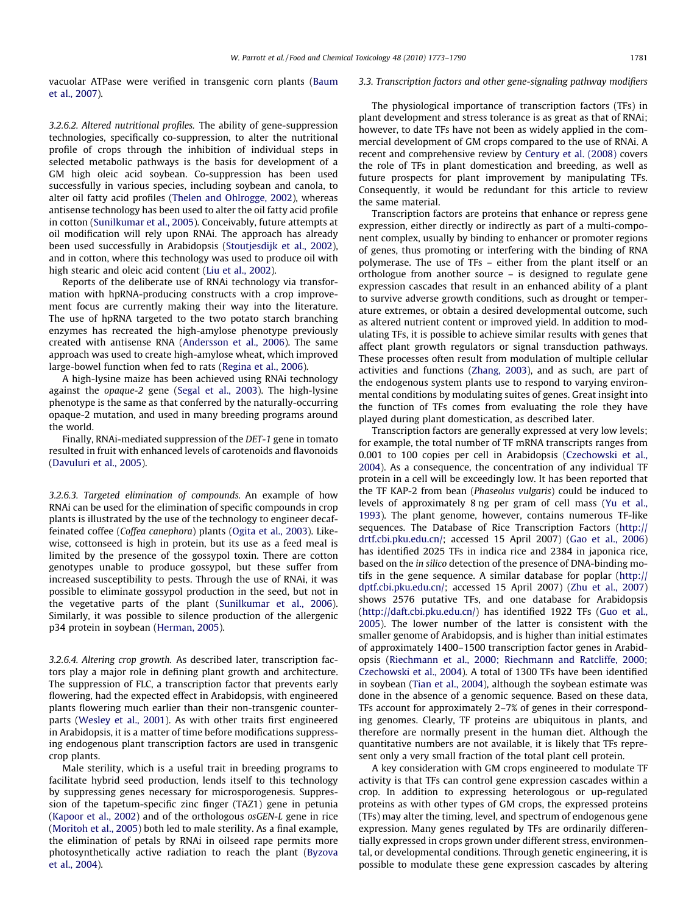vacuolar ATPase were verified in transgenic corn plants ([Baum](#page-13-0) [et al., 2007\)](#page-13-0).

3.2.6.2. Altered nutritional profiles. The ability of gene-suppression technologies, specifically co-suppression, to alter the nutritional profile of crops through the inhibition of individual steps in selected metabolic pathways is the basis for development of a GM high oleic acid soybean. Co-suppression has been used successfully in various species, including soybean and canola, to alter oil fatty acid profiles ([Thelen and Ohlrogge, 2002\)](#page-16-0), whereas antisense technology has been used to alter the oil fatty acid profile in cotton [\(Sunilkumar et al., 2005](#page-16-0)). Conceivably, future attempts at oil modification will rely upon RNAi. The approach has already been used successfully in Arabidopsis [\(Stoutjesdijk et al., 2002\)](#page-16-0), and in cotton, where this technology was used to produce oil with high stearic and oleic acid content [\(Liu et al., 2002](#page-15-0)).

Reports of the deliberate use of RNAi technology via transformation with hpRNA-producing constructs with a crop improvement focus are currently making their way into the literature. The use of hpRNA targeted to the two potato starch branching enzymes has recreated the high-amylose phenotype previously created with antisense RNA ([Andersson et al., 2006](#page-13-0)). The same approach was used to create high-amylose wheat, which improved large-bowel function when fed to rats [\(Regina et al., 2006](#page-16-0)).

A high-lysine maize has been achieved using RNAi technology against the opaque-2 gene [\(Segal et al., 2003\)](#page-16-0). The high-lysine phenotype is the same as that conferred by the naturally-occurring opaque-2 mutation, and used in many breeding programs around the world.

Finally, RNAi-mediated suppression of the DET-1 gene in tomato resulted in fruit with enhanced levels of carotenoids and flavonoids ([Davuluri et al., 2005\)](#page-13-0).

3.2.6.3. Targeted elimination of compounds. An example of how RNAi can be used for the elimination of specific compounds in crop plants is illustrated by the use of the technology to engineer decaffeinated coffee (Coffea canephora) plants ([Ogita et al., 2003](#page-15-0)). Likewise, cottonseed is high in protein, but its use as a feed meal is limited by the presence of the gossypol toxin. There are cotton genotypes unable to produce gossypol, but these suffer from increased susceptibility to pests. Through the use of RNAi, it was possible to eliminate gossypol production in the seed, but not in the vegetative parts of the plant [\(Sunilkumar et al., 2006\)](#page-16-0). Similarly, it was possible to silence production of the allergenic p34 protein in soybean [\(Herman, 2005](#page-14-0)).

3.2.6.4. Altering crop growth. As described later, transcription factors play a major role in defining plant growth and architecture. The suppression of FLC, a transcription factor that prevents early flowering, had the expected effect in Arabidopsis, with engineered plants flowering much earlier than their non-transgenic counterparts [\(Wesley et al., 2001](#page-17-0)). As with other traits first engineered in Arabidopsis, it is a matter of time before modifications suppressing endogenous plant transcription factors are used in transgenic crop plants.

Male sterility, which is a useful trait in breeding programs to facilitate hybrid seed production, lends itself to this technology by suppressing genes necessary for microsporogenesis. Suppression of the tapetum-specific zinc finger (TAZ1) gene in petunia ([Kapoor et al., 2002](#page-15-0)) and of the orthologous osGEN-L gene in rice ([Moritoh et al., 2005\)](#page-15-0) both led to male sterility. As a final example, the elimination of petals by RNAi in oilseed rape permits more photosynthetically active radiation to reach the plant ([Byzova](#page-13-0) [et al., 2004\)](#page-13-0).

### 3.3. Transcription factors and other gene-signaling pathway modifiers

The physiological importance of transcription factors (TFs) in plant development and stress tolerance is as great as that of RNAi; however, to date TFs have not been as widely applied in the commercial development of GM crops compared to the use of RNAi. A recent and comprehensive review by [Century et al. \(2008\)](#page-13-0) covers the role of TFs in plant domestication and breeding, as well as future prospects for plant improvement by manipulating TFs. Consequently, it would be redundant for this article to review the same material.

Transcription factors are proteins that enhance or repress gene expression, either directly or indirectly as part of a multi-component complex, usually by binding to enhancer or promoter regions of genes, thus promoting or interfering with the binding of RNA polymerase. The use of TFs – either from the plant itself or an orthologue from another source – is designed to regulate gene expression cascades that result in an enhanced ability of a plant to survive adverse growth conditions, such as drought or temperature extremes, or obtain a desired developmental outcome, such as altered nutrient content or improved yield. In addition to modulating TFs, it is possible to achieve similar results with genes that affect plant growth regulators or signal transduction pathways. These processes often result from modulation of multiple cellular activities and functions ([Zhang, 2003\)](#page-17-0), and as such, are part of the endogenous system plants use to respond to varying environmental conditions by modulating suites of genes. Great insight into the function of TFs comes from evaluating the role they have played during plant domestication, as described later.

Transcription factors are generally expressed at very low levels; for example, the total number of TF mRNA transcripts ranges from 0.001 to 100 copies per cell in Arabidopsis ([Czechowski et al.,](#page-13-0) [2004](#page-13-0)). As a consequence, the concentration of any individual TF protein in a cell will be exceedingly low. It has been reported that the TF KAP-2 from bean (Phaseolus vulgaris) could be induced to levels of approximately 8 ng per gram of cell mass ([Yu et al.,](#page-17-0) [1993\)](#page-17-0). The plant genome, however, contains numerous TF-like sequences. The Database of Rice Transcription Factors ([http://](http://drtf.cbi.pku.edu.cn/) [drtf.cbi.pku.edu.cn/](http://drtf.cbi.pku.edu.cn/); accessed 15 April 2007) [\(Gao et al., 2006\)](#page-14-0) has identified 2025 TFs in indica rice and 2384 in japonica rice, based on the in silico detection of the presence of DNA-binding motifs in the gene sequence. A similar database for poplar ([http://](http://dptf.cbi.pku.edu.cn/) [dptf.cbi.pku.edu.cn/](http://dptf.cbi.pku.edu.cn/); accessed 15 April 2007) ([Zhu et al., 2007\)](#page-17-0) shows 2576 putative TFs, and one database for Arabidopsis (<http://daft.cbi.pku.edu.cn/>) has identified 1922 TFs ([Guo et al.,](#page-14-0) [2005](#page-14-0)). The lower number of the latter is consistent with the smaller genome of Arabidopsis, and is higher than initial estimates of approximately 1400–1500 transcription factor genes in Arabidopsis [\(Riechmann et al., 2000; Riechmann and Ratcliffe, 2000;](#page-16-0) [Czechowski et al., 2004](#page-16-0)). A total of 1300 TFs have been identified in soybean [\(Tian et al., 2004\)](#page-16-0), although the soybean estimate was done in the absence of a genomic sequence. Based on these data, TFs account for approximately 2–7% of genes in their corresponding genomes. Clearly, TF proteins are ubiquitous in plants, and therefore are normally present in the human diet. Although the quantitative numbers are not available, it is likely that TFs represent only a very small fraction of the total plant cell protein.

A key consideration with GM crops engineered to modulate TF activity is that TFs can control gene expression cascades within a crop. In addition to expressing heterologous or up-regulated proteins as with other types of GM crops, the expressed proteins (TFs) may alter the timing, level, and spectrum of endogenous gene expression. Many genes regulated by TFs are ordinarily differentially expressed in crops grown under different stress, environmental, or developmental conditions. Through genetic engineering, it is possible to modulate these gene expression cascades by altering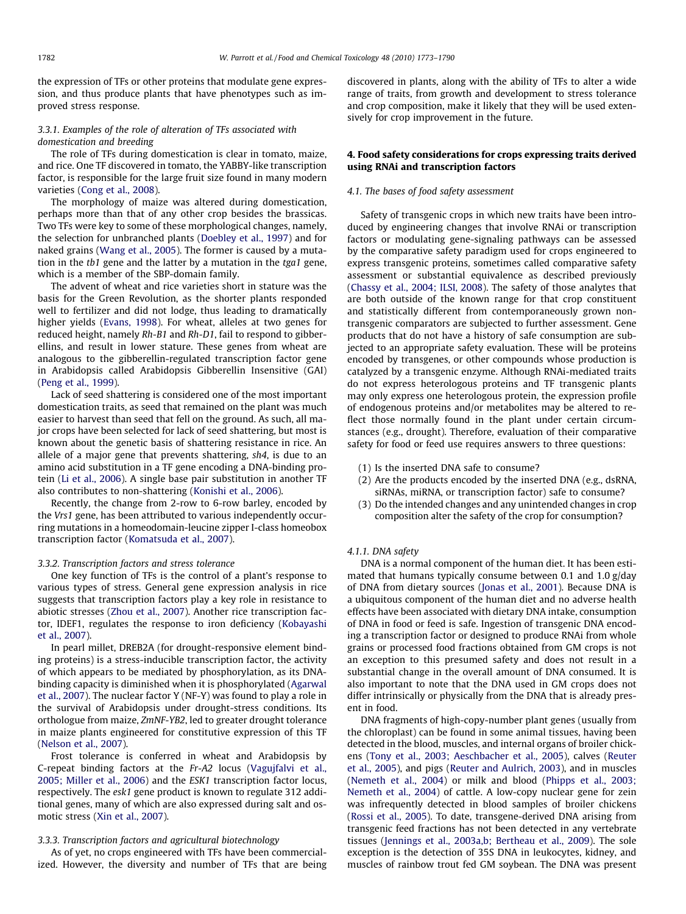the expression of TFs or other proteins that modulate gene expression, and thus produce plants that have phenotypes such as improved stress response.

# 3.3.1. Examples of the role of alteration of TFs associated with domestication and breeding

The role of TFs during domestication is clear in tomato, maize, and rice. One TF discovered in tomato, the YABBY-like transcription factor, is responsible for the large fruit size found in many modern varieties ([Cong et al., 2008](#page-13-0)).

The morphology of maize was altered during domestication, perhaps more than that of any other crop besides the brassicas. Two TFs were key to some of these morphological changes, namely, the selection for unbranched plants ([Doebley et al., 1997\)](#page-13-0) and for naked grains ([Wang et al., 2005](#page-16-0)). The former is caused by a mutation in the tb1 gene and the latter by a mutation in the tga1 gene, which is a member of the SBP-domain family.

The advent of wheat and rice varieties short in stature was the basis for the Green Revolution, as the shorter plants responded well to fertilizer and did not lodge, thus leading to dramatically higher yields ([Evans, 1998\)](#page-14-0). For wheat, alleles at two genes for reduced height, namely Rh-B1 and Rh-D1, fail to respond to gibberellins, and result in lower stature. These genes from wheat are analogous to the gibberellin-regulated transcription factor gene in Arabidopsis called Arabidopsis Gibberellin Insensitive (GAI) ([Peng et al., 1999\)](#page-15-0).

Lack of seed shattering is considered one of the most important domestication traits, as seed that remained on the plant was much easier to harvest than seed that fell on the ground. As such, all major crops have been selected for lack of seed shattering, but most is known about the genetic basis of shattering resistance in rice. An allele of a major gene that prevents shattering, sh4, is due to an amino acid substitution in a TF gene encoding a DNA-binding protein [\(Li et al., 2006](#page-15-0)). A single base pair substitution in another TF also contributes to non-shattering [\(Konishi et al., 2006](#page-15-0)).

Recently, the change from 2-row to 6-row barley, encoded by the Vrs1 gene, has been attributed to various independently occurring mutations in a homeodomain-leucine zipper I-class homeobox transcription factor ([Komatsuda et al., 2007\)](#page-15-0).

#### 3.3.2. Transcription factors and stress tolerance

One key function of TFs is the control of a plant's response to various types of stress. General gene expression analysis in rice suggests that transcription factors play a key role in resistance to abiotic stresses [\(Zhou et al., 2007](#page-17-0)). Another rice transcription factor, IDEF1, regulates the response to iron deficiency [\(Kobayashi](#page-15-0) [et al., 2007\)](#page-15-0).

In pearl millet, DREB2A (for drought-responsive element binding proteins) is a stress-inducible transcription factor, the activity of which appears to be mediated by phosphorylation, as its DNAbinding capacity is diminished when it is phosphorylated ([Agarwal](#page-13-0) [et al., 2007\)](#page-13-0). The nuclear factor Y (NF-Y) was found to play a role in the survival of Arabidopsis under drought-stress conditions. Its orthologue from maize, ZmNF-YB2, led to greater drought tolerance in maize plants engineered for constitutive expression of this TF ([Nelson et al., 2007](#page-15-0)).

Frost tolerance is conferred in wheat and Arabidopsis by C-repeat binding factors at the Fr-A2 locus ([Vagujfalvi et al.,](#page-16-0) [2005; Miller et al., 2006](#page-16-0)) and the ESK1 transcription factor locus, respectively. The esk1 gene product is known to regulate 312 additional genes, many of which are also expressed during salt and osmotic stress [\(Xin et al., 2007\)](#page-17-0).

# 3.3.3. Transcription factors and agricultural biotechnology

As of yet, no crops engineered with TFs have been commercialized. However, the diversity and number of TFs that are being discovered in plants, along with the ability of TFs to alter a wide range of traits, from growth and development to stress tolerance and crop composition, make it likely that they will be used extensively for crop improvement in the future.

# 4. Food safety considerations for crops expressing traits derived using RNAi and transcription factors

#### 4.1. The bases of food safety assessment

Safety of transgenic crops in which new traits have been introduced by engineering changes that involve RNAi or transcription factors or modulating gene-signaling pathways can be assessed by the comparative safety paradigm used for crops engineered to express transgenic proteins, sometimes called comparative safety assessment or substantial equivalence as described previously ([Chassy et al., 2004; ILSI, 2008](#page-13-0)). The safety of those analytes that are both outside of the known range for that crop constituent and statistically different from contemporaneously grown nontransgenic comparators are subjected to further assessment. Gene products that do not have a history of safe consumption are subjected to an appropriate safety evaluation. These will be proteins encoded by transgenes, or other compounds whose production is catalyzed by a transgenic enzyme. Although RNAi-mediated traits do not express heterologous proteins and TF transgenic plants may only express one heterologous protein, the expression profile of endogenous proteins and/or metabolites may be altered to reflect those normally found in the plant under certain circumstances (e.g., drought). Therefore, evaluation of their comparative safety for food or feed use requires answers to three questions:

- (1) Is the inserted DNA safe to consume?
- (2) Are the products encoded by the inserted DNA (e.g., dsRNA, siRNAs, miRNA, or transcription factor) safe to consume?
- (3) Do the intended changes and any unintended changes in crop composition alter the safety of the crop for consumption?

#### 4.1.1. DNA safety

DNA is a normal component of the human diet. It has been estimated that humans typically consume between 0.1 and 1.0 g/day of DNA from dietary sources [\(Jonas et al., 2001\)](#page-14-0). Because DNA is a ubiquitous component of the human diet and no adverse health effects have been associated with dietary DNA intake, consumption of DNA in food or feed is safe. Ingestion of transgenic DNA encoding a transcription factor or designed to produce RNAi from whole grains or processed food fractions obtained from GM crops is not an exception to this presumed safety and does not result in a substantial change in the overall amount of DNA consumed. It is also important to note that the DNA used in GM crops does not differ intrinsically or physically from the DNA that is already present in food.

DNA fragments of high-copy-number plant genes (usually from the chloroplast) can be found in some animal tissues, having been detected in the blood, muscles, and internal organs of broiler chickens [\(Tony et al., 2003; Aeschbacher et al., 2005\)](#page-16-0), calves ([Reuter](#page-16-0) [et al., 2005](#page-16-0)), and pigs ([Reuter and Aulrich, 2003\)](#page-16-0), and in muscles ([Nemeth et al., 2004](#page-15-0)) or milk and blood [\(Phipps et al., 2003;](#page-16-0) [Nemeth et al., 2004\)](#page-16-0) of cattle. A low-copy nuclear gene for zein was infrequently detected in blood samples of broiler chickens ([Rossi et al., 2005\)](#page-16-0). To date, transgene-derived DNA arising from transgenic feed fractions has not been detected in any vertebrate tissues ([Jennings et al., 2003a,b; Bertheau et al., 2009](#page-14-0)). The sole exception is the detection of 35S DNA in leukocytes, kidney, and muscles of rainbow trout fed GM soybean. The DNA was present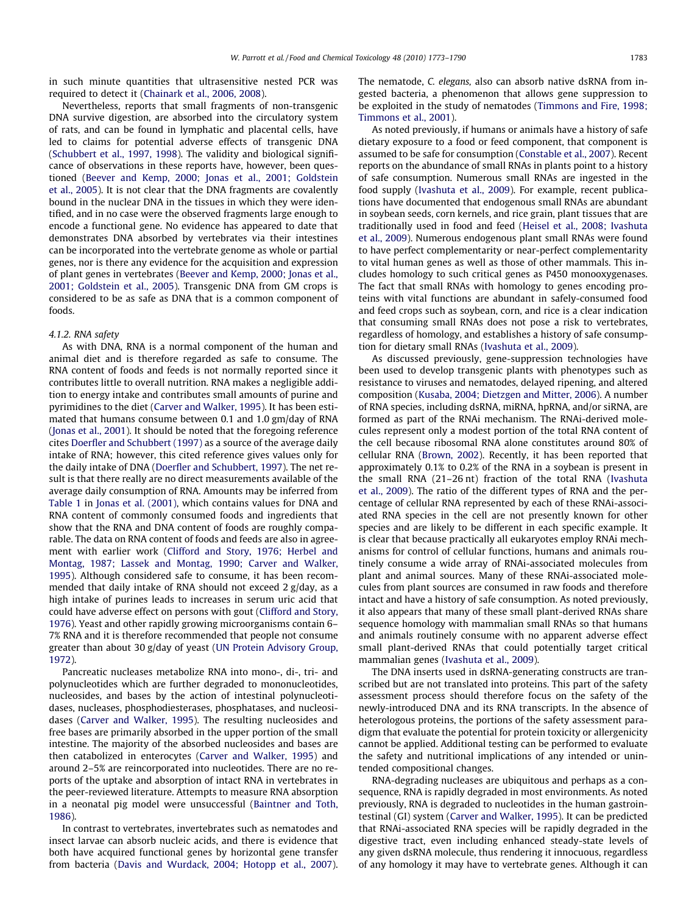in such minute quantities that ultrasensitive nested PCR was required to detect it ([Chainark et al., 2006, 2008\)](#page-13-0).

Nevertheless, reports that small fragments of non-transgenic DNA survive digestion, are absorbed into the circulatory system of rats, and can be found in lymphatic and placental cells, have led to claims for potential adverse effects of transgenic DNA ([Schubbert et al., 1997, 1998](#page-16-0)). The validity and biological significance of observations in these reports have, however, been questioned ([Beever and Kemp, 2000; Jonas et al., 2001; Goldstein](#page-13-0) [et al., 2005\)](#page-13-0). It is not clear that the DNA fragments are covalently bound in the nuclear DNA in the tissues in which they were identified, and in no case were the observed fragments large enough to encode a functional gene. No evidence has appeared to date that demonstrates DNA absorbed by vertebrates via their intestines can be incorporated into the vertebrate genome as whole or partial genes, nor is there any evidence for the acquisition and expression of plant genes in vertebrates [\(Beever and Kemp, 2000; Jonas et al.,](#page-13-0) [2001; Goldstein et al., 2005](#page-13-0)). Transgenic DNA from GM crops is considered to be as safe as DNA that is a common component of foods.

#### 4.1.2. RNA safety

As with DNA, RNA is a normal component of the human and animal diet and is therefore regarded as safe to consume. The RNA content of foods and feeds is not normally reported since it contributes little to overall nutrition. RNA makes a negligible addition to energy intake and contributes small amounts of purine and pyrimidines to the diet ([Carver and Walker, 1995\)](#page-13-0). It has been estimated that humans consume between 0.1 and 1.0 gm/day of RNA ([Jonas et al., 2001](#page-14-0)). It should be noted that the foregoing reference cites [Doerfler and Schubbert \(1997\)](#page-13-0) as a source of the average daily intake of RNA; however, this cited reference gives values only for the daily intake of DNA [\(Doerfler and Schubbert, 1997](#page-13-0)). The net result is that there really are no direct measurements available of the average daily consumption of RNA. Amounts may be inferred from [Table 1](#page-7-0) in [Jonas et al. \(2001\)](#page-14-0), which contains values for DNA and RNA content of commonly consumed foods and ingredients that show that the RNA and DNA content of foods are roughly comparable. The data on RNA content of foods and feeds are also in agreement with earlier work [\(Clifford and Story, 1976; Herbel and](#page-13-0) [Montag, 1987; Lassek and Montag, 1990; Carver and Walker,](#page-13-0) [1995\)](#page-13-0). Although considered safe to consume, it has been recommended that daily intake of RNA should not exceed 2 g/day, as a high intake of purines leads to increases in serum uric acid that could have adverse effect on persons with gout [\(Clifford and Story,](#page-13-0) [1976\)](#page-13-0). Yeast and other rapidly growing microorganisms contain 6– 7% RNA and it is therefore recommended that people not consume greater than about 30 g/day of yeast [\(UN Protein Advisory Group,](#page-16-0) [1972\)](#page-16-0).

Pancreatic nucleases metabolize RNA into mono-, di-, tri- and polynucleotides which are further degraded to mononucleotides, nucleosides, and bases by the action of intestinal polynucleotidases, nucleases, phosphodiesterases, phosphatases, and nucleosidases [\(Carver and Walker, 1995](#page-13-0)). The resulting nucleosides and free bases are primarily absorbed in the upper portion of the small intestine. The majority of the absorbed nucleosides and bases are then catabolized in enterocytes [\(Carver and Walker, 1995](#page-13-0)) and around 2–5% are reincorporated into nucleotides. There are no reports of the uptake and absorption of intact RNA in vertebrates in the peer-reviewed literature. Attempts to measure RNA absorption in a neonatal pig model were unsuccessful [\(Baintner and Toth,](#page-13-0) [1986\)](#page-13-0).

In contrast to vertebrates, invertebrates such as nematodes and insect larvae can absorb nucleic acids, and there is evidence that both have acquired functional genes by horizontal gene transfer from bacteria [\(Davis and Wurdack, 2004; Hotopp et al., 2007\)](#page-13-0). The nematode, C. elegans, also can absorb native dsRNA from ingested bacteria, a phenomenon that allows gene suppression to be exploited in the study of nematodes (Timmons and [Fire, 1998;](#page-16-0) [Timmons et al., 2001\)](#page-16-0).

As noted previously, if humans or animals have a history of safe dietary exposure to a food or feed component, that component is assumed to be safe for consumption ([Constable et al., 2007](#page-13-0)). Recent reports on the abundance of small RNAs in plants point to a history of safe consumption. Numerous small RNAs are ingested in the food supply ([Ivashuta et al., 2009\)](#page-14-0). For example, recent publications have documented that endogenous small RNAs are abundant in soybean seeds, corn kernels, and rice grain, plant tissues that are traditionally used in food and feed ([Heisel et al., 2008; Ivashuta](#page-14-0) [et al., 2009\)](#page-14-0). Numerous endogenous plant small RNAs were found to have perfect complementarity or near-perfect complementarity to vital human genes as well as those of other mammals. This includes homology to such critical genes as P450 monooxygenases. The fact that small RNAs with homology to genes encoding proteins with vital functions are abundant in safely-consumed food and feed crops such as soybean, corn, and rice is a clear indication that consuming small RNAs does not pose a risk to vertebrates, regardless of homology, and establishes a history of safe consumption for dietary small RNAs ([Ivashuta et al., 2009\)](#page-14-0).

As discussed previously, gene-suppression technologies have been used to develop transgenic plants with phenotypes such as resistance to viruses and nematodes, delayed ripening, and altered composition ([Kusaba, 2004; Dietzgen and Mitter, 2006\)](#page-15-0). A number of RNA species, including dsRNA, miRNA, hpRNA, and/or siRNA, are formed as part of the RNAi mechanism. The RNAi-derived molecules represent only a modest portion of the total RNA content of the cell because ribosomal RNA alone constitutes around 80% of cellular RNA ([Brown, 2002](#page-13-0)). Recently, it has been reported that approximately 0.1% to 0.2% of the RNA in a soybean is present in the small RNA (21–26 nt) fraction of the total RNA [\(Ivashuta](#page-14-0) [et al., 2009](#page-14-0)). The ratio of the different types of RNA and the percentage of cellular RNA represented by each of these RNAi-associated RNA species in the cell are not presently known for other species and are likely to be different in each specific example. It is clear that because practically all eukaryotes employ RNAi mechanisms for control of cellular functions, humans and animals routinely consume a wide array of RNAi-associated molecules from plant and animal sources. Many of these RNAi-associated molecules from plant sources are consumed in raw foods and therefore intact and have a history of safe consumption. As noted previously, it also appears that many of these small plant-derived RNAs share sequence homology with mammalian small RNAs so that humans and animals routinely consume with no apparent adverse effect small plant-derived RNAs that could potentially target critical mammalian genes ([Ivashuta et al., 2009\)](#page-14-0).

The DNA inserts used in dsRNA-generating constructs are transcribed but are not translated into proteins. This part of the safety assessment process should therefore focus on the safety of the newly-introduced DNA and its RNA transcripts. In the absence of heterologous proteins, the portions of the safety assessment paradigm that evaluate the potential for protein toxicity or allergenicity cannot be applied. Additional testing can be performed to evaluate the safety and nutritional implications of any intended or unintended compositional changes.

RNA-degrading nucleases are ubiquitous and perhaps as a consequence, RNA is rapidly degraded in most environments. As noted previously, RNA is degraded to nucleotides in the human gastrointestinal (GI) system ([Carver and Walker, 1995\)](#page-13-0). It can be predicted that RNAi-associated RNA species will be rapidly degraded in the digestive tract, even including enhanced steady-state levels of any given dsRNA molecule, thus rendering it innocuous, regardless of any homology it may have to vertebrate genes. Although it can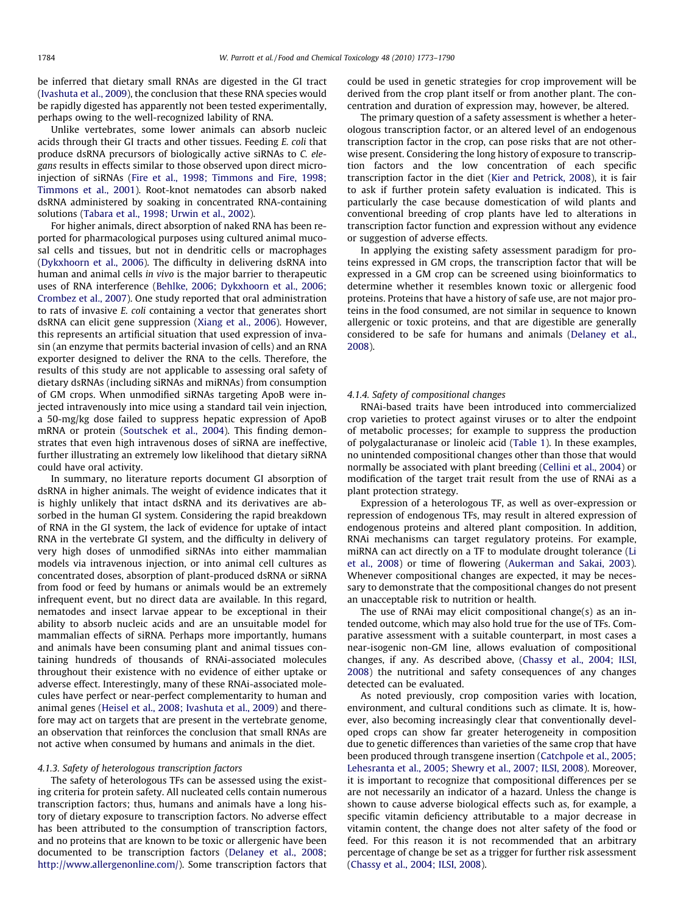be inferred that dietary small RNAs are digested in the GI tract ([Ivashuta et al., 2009](#page-14-0)), the conclusion that these RNA species would be rapidly digested has apparently not been tested experimentally, perhaps owing to the well-recognized lability of RNA.

Unlike vertebrates, some lower animals can absorb nucleic acids through their GI tracts and other tissues. Feeding E. coli that produce dsRNA precursors of biologically active siRNAs to C. elegans results in effects similar to those observed upon direct microinjection of siRNAs [\(Fire et al., 1998; Timmons and Fire, 1998;](#page-14-0) [Timmons et al., 2001](#page-14-0)). Root-knot nematodes can absorb naked dsRNA administered by soaking in concentrated RNA-containing solutions ([Tabara et al., 1998; Urwin et al., 2002\)](#page-16-0).

For higher animals, direct absorption of naked RNA has been reported for pharmacological purposes using cultured animal mucosal cells and tissues, but not in dendritic cells or macrophages ([Dykxhoorn et al., 2006\)](#page-14-0). The difficulty in delivering dsRNA into human and animal cells in vivo is the major barrier to therapeutic uses of RNA interference ([Behlke, 2006; Dykxhoorn et al., 2006;](#page-13-0) [Crombez et al., 2007](#page-13-0)). One study reported that oral administration to rats of invasive E. coli containing a vector that generates short dsRNA can elicit gene suppression ([Xiang et al., 2006\)](#page-17-0). However, this represents an artificial situation that used expression of invasin (an enzyme that permits bacterial invasion of cells) and an RNA exporter designed to deliver the RNA to the cells. Therefore, the results of this study are not applicable to assessing oral safety of dietary dsRNAs (including siRNAs and miRNAs) from consumption of GM crops. When unmodified siRNAs targeting ApoB were injected intravenously into mice using a standard tail vein injection, a 50-mg/kg dose failed to suppress hepatic expression of ApoB mRNA or protein [\(Soutschek et al., 2004\)](#page-16-0). This finding demonstrates that even high intravenous doses of siRNA are ineffective, further illustrating an extremely low likelihood that dietary siRNA could have oral activity.

In summary, no literature reports document GI absorption of dsRNA in higher animals. The weight of evidence indicates that it is highly unlikely that intact dsRNA and its derivatives are absorbed in the human GI system. Considering the rapid breakdown of RNA in the GI system, the lack of evidence for uptake of intact RNA in the vertebrate GI system, and the difficulty in delivery of very high doses of unmodified siRNAs into either mammalian models via intravenous injection, or into animal cell cultures as concentrated doses, absorption of plant-produced dsRNA or siRNA from food or feed by humans or animals would be an extremely infrequent event, but no direct data are available. In this regard, nematodes and insect larvae appear to be exceptional in their ability to absorb nucleic acids and are an unsuitable model for mammalian effects of siRNA. Perhaps more importantly, humans and animals have been consuming plant and animal tissues containing hundreds of thousands of RNAi-associated molecules throughout their existence with no evidence of either uptake or adverse effect. Interestingly, many of these RNAi-associated molecules have perfect or near-perfect complementarity to human and animal genes [\(Heisel et al., 2008; Ivashuta et al., 2009](#page-14-0)) and therefore may act on targets that are present in the vertebrate genome, an observation that reinforces the conclusion that small RNAs are not active when consumed by humans and animals in the diet.

#### 4.1.3. Safety of heterologous transcription factors

The safety of heterologous TFs can be assessed using the existing criteria for protein safety. All nucleated cells contain numerous transcription factors; thus, humans and animals have a long history of dietary exposure to transcription factors. No adverse effect has been attributed to the consumption of transcription factors, and no proteins that are known to be toxic or allergenic have been documented to be transcription factors ([Delaney et al., 2008;](#page-13-0) <http://www.allergenonline.com/>). Some transcription factors that could be used in genetic strategies for crop improvement will be derived from the crop plant itself or from another plant. The concentration and duration of expression may, however, be altered.

The primary question of a safety assessment is whether a heterologous transcription factor, or an altered level of an endogenous transcription factor in the crop, can pose risks that are not otherwise present. Considering the long history of exposure to transcription factors and the low concentration of each specific transcription factor in the diet ([Kier and Petrick, 2008](#page-15-0)), it is fair to ask if further protein safety evaluation is indicated. This is particularly the case because domestication of wild plants and conventional breeding of crop plants have led to alterations in transcription factor function and expression without any evidence or suggestion of adverse effects.

In applying the existing safety assessment paradigm for proteins expressed in GM crops, the transcription factor that will be expressed in a GM crop can be screened using bioinformatics to determine whether it resembles known toxic or allergenic food proteins. Proteins that have a history of safe use, are not major proteins in the food consumed, are not similar in sequence to known allergenic or toxic proteins, and that are digestible are generally considered to be safe for humans and animals ([Delaney et al.,](#page-13-0) [2008\)](#page-13-0).

#### 4.1.4. Safety of compositional changes

RNAi-based traits have been introduced into commercialized crop varieties to protect against viruses or to alter the endpoint of metabolic processes; for example to suppress the production of polygalacturanase or linoleic acid ([Table 1\)](#page-7-0). In these examples, no unintended compositional changes other than those that would normally be associated with plant breeding ([Cellini et al., 2004](#page-13-0)) or modification of the target trait result from the use of RNAi as a plant protection strategy.

Expression of a heterologous TF, as well as over-expression or repression of endogenous TFs, may result in altered expression of endogenous proteins and altered plant composition. In addition, RNAi mechanisms can target regulatory proteins. For example, miRNA can act directly on a TF to modulate drought tolerance [\(Li](#page-15-0) [et al., 2008\)](#page-15-0) or time of flowering ([Aukerman and Sakai, 2003\)](#page-13-0). Whenever compositional changes are expected, it may be necessary to demonstrate that the compositional changes do not present an unacceptable risk to nutrition or health.

The use of RNAi may elicit compositional change(s) as an intended outcome, which may also hold true for the use of TFs. Comparative assessment with a suitable counterpart, in most cases a near-isogenic non-GM line, allows evaluation of compositional changes, if any. As described above, [\(Chassy et al., 2004; ILSI,](#page-13-0) [2008\)](#page-13-0) the nutritional and safety consequences of any changes detected can be evaluated.

As noted previously, crop composition varies with location, environment, and cultural conditions such as climate. It is, however, also becoming increasingly clear that conventionally developed crops can show far greater heterogeneity in composition due to genetic differences than varieties of the same crop that have been produced through transgene insertion ([Catchpole et al., 2005;](#page-13-0) [Lehesranta et al., 2005; Shewry et al., 2007; ILSI, 2008\)](#page-13-0). Moreover, it is important to recognize that compositional differences per se are not necessarily an indicator of a hazard. Unless the change is shown to cause adverse biological effects such as, for example, a specific vitamin deficiency attributable to a major decrease in vitamin content, the change does not alter safety of the food or feed. For this reason it is not recommended that an arbitrary percentage of change be set as a trigger for further risk assessment ([Chassy et al., 2004; ILSI, 2008\)](#page-13-0).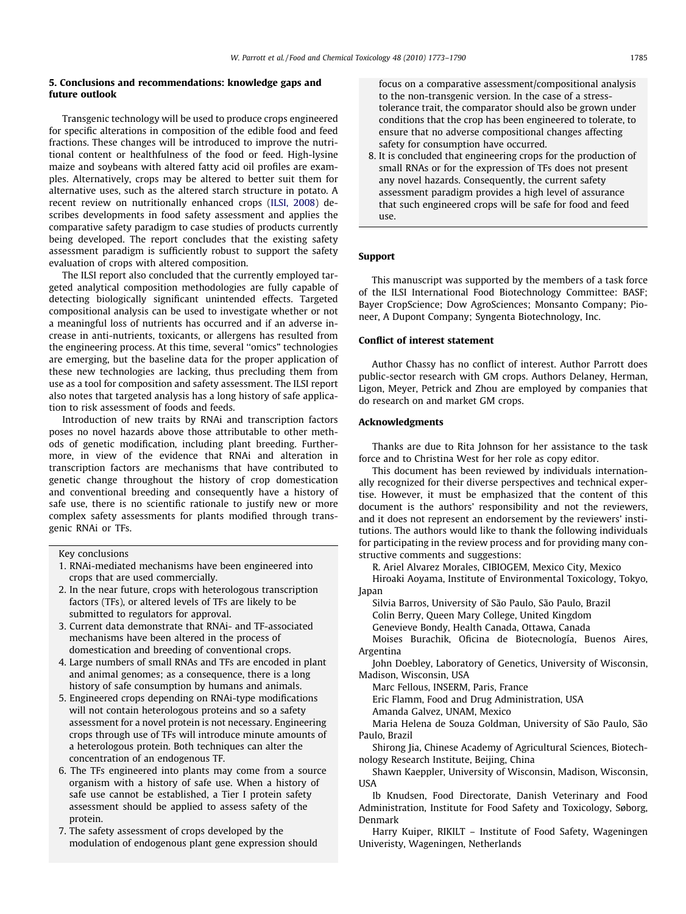# 5. Conclusions and recommendations: knowledge gaps and future outlook

Transgenic technology will be used to produce crops engineered for specific alterations in composition of the edible food and feed fractions. These changes will be introduced to improve the nutritional content or healthfulness of the food or feed. High-lysine maize and soybeans with altered fatty acid oil profiles are examples. Alternatively, crops may be altered to better suit them for alternative uses, such as the altered starch structure in potato. A recent review on nutritionally enhanced crops [\(ILSI, 2008\)](#page-14-0) describes developments in food safety assessment and applies the comparative safety paradigm to case studies of products currently being developed. The report concludes that the existing safety assessment paradigm is sufficiently robust to support the safety evaluation of crops with altered composition.

The ILSI report also concluded that the currently employed targeted analytical composition methodologies are fully capable of detecting biologically significant unintended effects. Targeted compositional analysis can be used to investigate whether or not a meaningful loss of nutrients has occurred and if an adverse increase in anti-nutrients, toxicants, or allergens has resulted from the engineering process. At this time, several ''omics" technologies are emerging, but the baseline data for the proper application of these new technologies are lacking, thus precluding them from use as a tool for composition and safety assessment. The ILSI report also notes that targeted analysis has a long history of safe application to risk assessment of foods and feeds.

Introduction of new traits by RNAi and transcription factors poses no novel hazards above those attributable to other methods of genetic modification, including plant breeding. Furthermore, in view of the evidence that RNAi and alteration in transcription factors are mechanisms that have contributed to genetic change throughout the history of crop domestication and conventional breeding and consequently have a history of safe use, there is no scientific rationale to justify new or more complex safety assessments for plants modified through transgenic RNAi or TFs.

Key conclusions

- 1. RNAi-mediated mechanisms have been engineered into crops that are used commercially.
- 2. In the near future, crops with heterologous transcription factors (TFs), or altered levels of TFs are likely to be submitted to regulators for approval.
- 3. Current data demonstrate that RNAi- and TF-associated mechanisms have been altered in the process of domestication and breeding of conventional crops.
- 4. Large numbers of small RNAs and TFs are encoded in plant and animal genomes; as a consequence, there is a long history of safe consumption by humans and animals.
- 5. Engineered crops depending on RNAi-type modifications will not contain heterologous proteins and so a safety assessment for a novel protein is not necessary. Engineering crops through use of TFs will introduce minute amounts of a heterologous protein. Both techniques can alter the concentration of an endogenous TF.
- 6. The TFs engineered into plants may come from a source organism with a history of safe use. When a history of safe use cannot be established, a Tier I protein safety assessment should be applied to assess safety of the protein.
- 7. The safety assessment of crops developed by the modulation of endogenous plant gene expression should

focus on a comparative assessment/compositional analysis to the non-transgenic version. In the case of a stresstolerance trait, the comparator should also be grown under conditions that the crop has been engineered to tolerate, to ensure that no adverse compositional changes affecting safety for consumption have occurred.

8. It is concluded that engineering crops for the production of small RNAs or for the expression of TFs does not present any novel hazards. Consequently, the current safety assessment paradigm provides a high level of assurance that such engineered crops will be safe for food and feed use.

# Support

This manuscript was supported by the members of a task force of the ILSI International Food Biotechnology Committee: BASF; Bayer CropScience; Dow AgroSciences; Monsanto Company; Pioneer, A Dupont Company; Syngenta Biotechnology, Inc.

#### Conflict of interest statement

Author Chassy has no conflict of interest. Author Parrott does public-sector research with GM crops. Authors Delaney, Herman, Ligon, Meyer, Petrick and Zhou are employed by companies that do research on and market GM crops.

## Acknowledgments

Thanks are due to Rita Johnson for her assistance to the task force and to Christina West for her role as copy editor.

This document has been reviewed by individuals internationally recognized for their diverse perspectives and technical expertise. However, it must be emphasized that the content of this document is the authors' responsibility and not the reviewers, and it does not represent an endorsement by the reviewers' institutions. The authors would like to thank the following individuals for participating in the review process and for providing many constructive comments and suggestions:

R. Ariel Alvarez Morales, CIBIOGEM, Mexico City, Mexico

Hiroaki Aoyama, Institute of Environmental Toxicology, Tokyo, Japan

Silvia Barros, University of São Paulo, São Paulo, Brazil Colin Berry, Queen Mary College, United Kingdom

Genevieve Bondy, Health Canada, Ottawa, Canada

Moises Burachik, Oficina de Biotecnología, Buenos Aires, Argentina

John Doebley, Laboratory of Genetics, University of Wisconsin, Madison, Wisconsin, USA

Marc Fellous, INSERM, Paris, France

Eric Flamm, Food and Drug Administration, USA

Amanda Galvez, UNAM, Mexico

Maria Helena de Souza Goldman, University of São Paulo, São Paulo, Brazil

Shirong Jia, Chinese Academy of Agricultural Sciences, Biotechnology Research Institute, Beijing, China

Shawn Kaeppler, University of Wisconsin, Madison, Wisconsin, **IISA** 

Ib Knudsen, Food Directorate, Danish Veterinary and Food Administration, Institute for Food Safety and Toxicology, Søborg, Denmark

Harry Kuiper, RIKILT – Institute of Food Safety, Wageningen Univeristy, Wageningen, Netherlands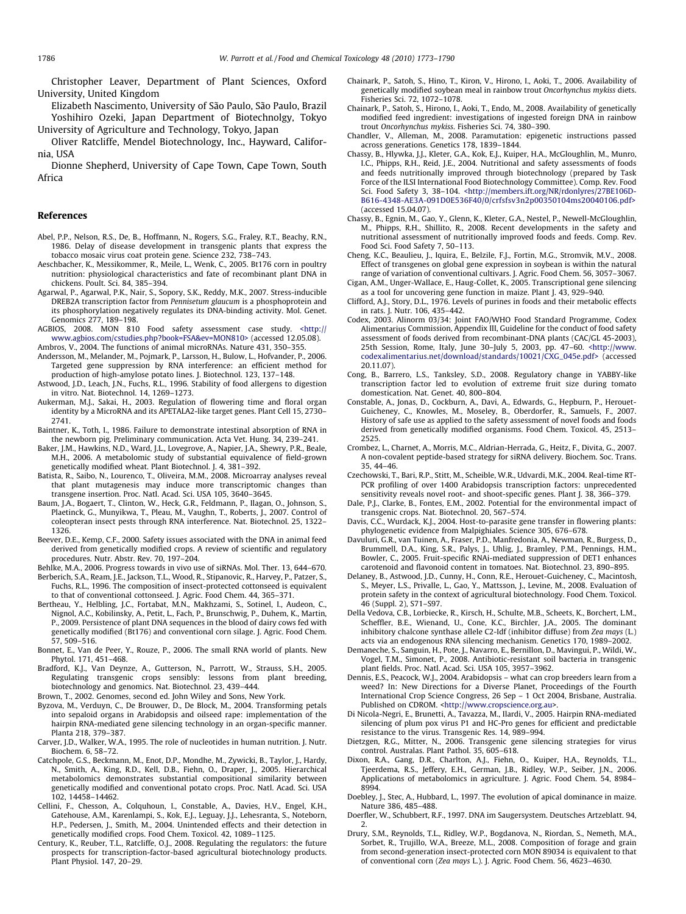<span id="page-13-0"></span>Christopher Leaver, Department of Plant Sciences, Oxford University, United Kingdom

Elizabeth Nascimento, University of São Paulo, São Paulo, Brazil Yoshihiro Ozeki, Japan Department of Biotechnolgy, Tokyo University of Agriculture and Technology, Tokyo, Japan

Oliver Ratcliffe, Mendel Biotechnology, Inc., Hayward, California, USA

Dionne Shepherd, University of Cape Town, Cape Town, South Africa

#### References

- Abel, P.P., Nelson, R.S., De, B., Hoffmann, N., Rogers, S.G., Fraley, R.T., Beachy, R.N., 1986. Delay of disease development in transgenic plants that express the tobacco mosaic virus coat protein gene. Science 232, 738–743.
- Aeschbacher, K., Messikommer, R., Meile, L., Wenk, C., 2005. Bt176 corn in poultry nutrition: physiological characteristics and fate of recombinant plant DNA in chickens. Poult. Sci. 84, 385–394.
- Agarwal, P., Agarwal, P.K., Nair, S., Sopory, S.K., Reddy, M.K., 2007. Stress-inducible DREB2A transcription factor from Pennisetum glaucum is a phosphoprotein and its phosphorylation negatively regulates its DNA-binding activity. Mol. Genet. Genomics 277, 189–198.
- AGBIOS, 2008. MON 810 Food safety assessment case study. [<http://](http://www.agbios.com) [www.agbios.com/cstudies.php?book=FSA&ev=MON810>](http://www.agbios.com) (accessed 12.05.08).
- Ambros, V., 2004. The functions of animal microRNAs. Nature 431, 350–355.
- Andersson, M., Melander, M., Pojmark, P., Larsson, H., Bulow, L., Hofvander, P., 2006. Targeted gene suppression by RNA interference: an efficient method for production of high-amylose potato lines. J. Biotechnol. 123, 137–148.

Astwood, J.D., Leach, J.N., Fuchs, R.L., 1996. Stability of food allergens to digestion in vitro. Nat. Biotechnol. 14, 1269–1273.

- Aukerman, M.J., Sakai, H., 2003. Regulation of flowering time and floral organ identity by a MicroRNA and its APETALA2-like target genes. Plant Cell 15, 2730– 2741.
- Baintner, K., Toth, I., 1986. Failure to demonstrate intestinal absorption of RNA in the newborn pig. Preliminary communication. Acta Vet. Hung. 34, 239–241.
- Baker, J.M., Hawkins, N.D., Ward, J.L., Lovegrove, A., Napier, J.A., Shewry, P.R., Beale, M.H., 2006. A metabolomic study of substantial equivalence of field-grown genetically modified wheat. Plant Biotechnol. J. 4, 381–392.
- Batista, R., Saibo, N., Lourenco, T., Oliveira, M.M., 2008. Microarray analyses reveal that plant mutagenesis may induce more transcriptomic changes than transgene insertion. Proc. Natl. Acad. Sci. USA 105, 3640–3645.
- Baum, J.A., Bogaert, T., Clinton, W., Heck, G.R., Feldmann, P., Ilagan, O., Johnson, S., Plaetinck, G., Munyikwa, T., Pleau, M., Vaughn, T., Roberts, J., 2007. Control of coleopteran insect pests through RNA interference. Nat. Biotechnol. 25, 1322– 1326.
- Beever, D.E., Kemp, C.F., 2000. Safety issues associated with the DNA in animal feed derived from genetically modified crops. A review of scientific and regulatory procedures. Nutr. Abstr. Rev. 70, 197–204.
- Behlke, M.A., 2006. Progress towards in vivo use of siRNAs. Mol. Ther. 13, 644–670.
- Berberich, S.A., Ream, J.E., Jackson, T.L., Wood, R., Stipanovic, R., Harvey, P., Patzer, S., Fuchs, R.L., 1996. The composition of insect-protected cottonseed is equivalent
- to that of conventional cottonseed. J. Agric. Food Chem. 44, 365–371.<br>,.Bertheau, Y., Helbling, J.C., Fortabat, M.N., Makhzami, S., Sotinel, I., Audeon, C.<br>Nignol, A.C., Kobilinsky, A., Petit, L., Fach, P., Brunschwig, P., P., 2009. Persistence of plant DNA sequences in the blood of dairy cows fed with genetically modified (Bt176) and conventional corn silage. J. Agric. Food Chem. 57, 509–516.
- Bonnet, E., Van de Peer, Y., Rouze, P., 2006. The small RNA world of plants. New Phytol. 171, 451–468.
- Bradford, K.J., Van Deynze, A., Gutterson, N., Parrott, W., Strauss, S.H., 2005. Regulating transgenic crops sensibly: lessons from plant breeding, biotechnology and genomics. Nat. Biotechnol. 23, 439–444.

Brown, T., 2002. Genomes, second ed. John Wiley and Sons, New York.

- Byzova, M., Verduyn, C., De Brouwer, D., De Block, M., 2004. Transforming petals into sepaloid organs in Arabidopsis and oilseed rape: implementation of the hairpin RNA-mediated gene silencing technology in an organ-specific manner. Planta 218, 379–387.
- Carver, J.D., Walker, W.A., 1995. The role of nucleotides in human nutrition. J. Nutr. Biochem. 6, 58–72.
- Catchpole, G.S., Beckmann, M., Enot, D.P., Mondhe, M., Zywicki, B., Taylor, J., Hardy, N., Smith, A., King, R.D., Kell, D.B., Fiehn, O., Draper, J., 2005. Hierarchical metabolomics demonstrates substantial compositional similarity between genetically modified and conventional potato crops. Proc. Natl. Acad. Sci. USA 102, 14458–14462.
- Cellini, F., Chesson, A., Colquhoun, I., Constable, A., Davies, H.V., Engel, K.H., Gatehouse, A.M., Karenlampi, S., Kok, E.J., Leguay, J.J., Lehesranta, S., Noteborn, H.P., Pedersen, J., Smith, M., 2004. Unintended effects and their detection in genetically modified crops. Food Chem. Toxicol. 42, 1089–1125.
- Century, K., Reuber, T.L., Ratcliffe, O.J., 2008. Regulating the regulators: the future prospects for transcription-factor-based agricultural biotechnology products. Plant Physiol. 147, 20–29.
- Chainark, P., Satoh, S., Hino, T., Kiron, V., Hirono, I., Aoki, T., 2006. Availability of genetically modified soybean meal in rainbow trout Oncorhynchus mykiss diets. Fisheries Sci. 72, 1072–1078.
- Chainark, P., Satoh, S., Hirono, I., Aoki, T., Endo, M., 2008. Availability of genetically modified feed ingredient: investigations of ingested foreign DNA in rainbow trout Oncorhynchus mykiss. Fisheries Sci. 74, 380–390.
- Chandler, V., Alleman, M., 2008. Paramutation: epigenetic instructions passed across generations. Genetics 178, 1839–1844.
- Chassy, B., Hlywka, J.J., Kleter, G.A., Kok, E.J., Kuiper, H.A., McGloughlin, M., Munro, I.C., Phipps, R.H., Reid, J.E., 2004. Nutritional and safety assessments of foods and feeds nutritionally improved through biotechnology (prepared by Task Force of the ILSI International Food Biotechnology Committee). Comp. Rev. Food Sci. Food Safety 3, 38–104. [<http://members.ift.org/NR/rdonlyres/27BE106D-](http://members.ift.org)[B616-4348-AE3A-091D0E536F40/0/crfsfsv3n2p00350104ms20040106.pdf>](http://members.ift.org) (accessed 15.04.07).
- Chassy, B., Egnin, M., Gao, Y., Glenn, K., Kleter, G.A., Nestel, P., Newell-McGloughlin, M., Phipps, R.H., Shillito, R., 2008. Recent developments in the safety and nutritional assessment of nutritionally improved foods and feeds. Comp. Rev. Food Sci. Food Safety 7, 50–113.

Cheng, K.C., Beaulieu, J., Iquira, E., Belzile, F.J., Fortin, M.G., Stromvik, M.V., 2008. Effect of transgenes on global gene expression in soybean is within the natural range of variation of conventional cultivars. J. Agric. Food Chem. 56, 3057–3067.

- Cigan, A.M., Unger-Wallace, E., Haug-Collet, K., 2005. Transcriptional gene silencing as a tool for uncovering gene function in maize. Plant J. 43, 929–940.
- Clifford, A.J., Story, D.L., 1976. Levels of purines in foods and their metabolic effects in rats. J. Nutr. 106, 435–442.
- Codex, 2003. Alinorm 03/34: Joint FAO/WHO Food Standard Programme, Codex Alimentarius Commission, Appendix III, Guideline for the conduct of food safety assessment of foods derived from recombinant-DNA plants (CAC/GL 45-2003), 25th Session, Rome, Italy, June 30–July 5, 2003, pp. 47–60. [<http://www.](http://www.codexalimentarius.net) [codexalimentarius.net/download/standards/10021/CXG\\_045e.pdf>](http://www.codexalimentarius.net) (accessed 20.11.07).
- Cong, B., Barrero, L.S., Tanksley, S.D., 2008. Regulatory change in YABBY-like transcription factor led to evolution of extreme fruit size during tomato domestication. Nat. Genet. 40, 800–804.
- Constable, A., Jonas, D., Cockburn, A., Davi, A., Edwards, G., Hepburn, P., Herouet-Guicheney, C., Knowles, M., Moseley, B., Oberdorfer, R., Samuels, F., 2007. History of safe use as applied to the safety assessment of novel foods and foods derived from genetically modified organisms. Food Chem. Toxicol. 45, 2513– 2525.
- Crombez, L., Charnet, A., Morris, M.C., Aldrian-Herrada, G., Heitz, F., Divita, G., 2007. A non-covalent peptide-based strategy for siRNA delivery. Biochem. Soc. Trans. 35, 44–46.
- Czechowski, T., Bari, R.P., Stitt, M., Scheible, W.R., Udvardi, M.K., 2004. Real-time RT-PCR profiling of over 1400 Arabidopsis transcription factors: unprecedented sensitivity reveals novel root- and shoot-specific genes. Plant J. 38, 366–379.
- Dale, P.J., Clarke, B., Fontes, E.M., 2002. Potential for the environmental impact of transgenic crops. Nat. Biotechnol. 20, 567–574.
- Davis, C.C., Wurdack, K.J., 2004. Host-to-parasite gene transfer in flowering plants: phylogenetic evidence from Malpighiales. Science 305, 676–678.
- Davuluri, G.R., van Tuinen, A., Fraser, P.D., Manfredonia, A., Newman, R., Burgess, D., Brummell, D.A., King, S.R., Palys, J., Uhlig, J., Bramley, P.M., Pennings, H.M., Bowler, C., 2005. Fruit-specific RNAi-mediated suppression of DET1 enhances carotenoid and flavonoid content in tomatoes. Nat. Biotechnol. 23, 890–895.
- Delaney, B., Astwood, J.D., Cunny, H., Conn, R.E., Herouet-Guicheney, C., Macintosh, S., Meyer, L.S., Privalle, L., Gao, Y., Mattsson, J., Levine, M., 2008. Evaluation of protein safety in the context of agricultural biotechnology. Food Chem. Toxicol. 46 (Suppl. 2), S71–S97.
- Della Vedova, C.B., Lorbiecke, R., Kirsch, H., Schulte, M.B., Scheets, K., Borchert, L.M., Scheffler, B.E., Wienand, U., Cone, K.C., Birchler, J.A., 2005. The dominant inhibitory chalcone synthase allele C2-Idf (inhibitor diffuse) from Zea mays (L.) acts via an endogenous RNA silencing mechanism. Genetics 170, 1989–2002.
- Demaneche, S., Sanguin, H., Pote, J., Navarro, E., Bernillon, D., Mavingui, P., Wildi, W., Vogel, T.M., Simonet, P., 2008. Antibiotic-resistant soil bacteria in transgenic plant fields. Proc. Natl. Acad. Sci. USA 105, 3957–3962.
- Dennis, E.S., Peacock, W.J., 2004. Arabidopsis what can crop breeders learn from a weed? In: New Directions for a Diverse Planet, Proceedings of the Fourth International Crop Science Congress, 26 Sep – 1 Oct 2004, Brisbane, Australia. Published on CDROM. <[http://www.cropscience.org.au>](http://www.cropscience.org.au).
- Di Nicola-Negri, E., Brunetti, A., Tavazza, M., Ilardi, V., 2005. Hairpin RNA-mediated silencing of plum pox virus P1 and HC-Pro genes for efficient and predictable resistance to the virus. Transgenic Res. 14, 989–994.
- Dietzgen, R.G., Mitter, N., 2006. Transgenic gene silencing strategies for virus control. Australas. Plant Pathol. 35, 605–618.
- Dixon, R.A., Gang, D.R., Charlton, A.J., Fiehn, O., Kuiper, H.A., Reynolds, T.L., Tjeerdema, R.S., Jeffery, E.H., German, J.B., Ridley, W.P., Seiber, J.N., 2006. Applications of metabolomics in agriculture. J. Agric. Food Chem. 54, 8984– 8994.
- Doebley, J., Stec, A., Hubbard, L., 1997. The evolution of apical dominance in maize. Nature 386, 485–488.
- Doerfler, W., Schubbert, R.F., 1997. DNA im Saugersystem. Deutsches Artzeblatt. 94,  $\mathcal{L}$
- Drury, S.M., Reynolds, T.L., Ridley, W.P., Bogdanova, N., Riordan, S., Nemeth, M.A., Sorbet, R., Trujillo, W.A., Breeze, M.L., 2008. Composition of forage and grain from second-generation insect-protected corn MON 89034 is equivalent to that of conventional corn (Zea mays L.). J. Agric. Food Chem. 56, 4623–4630.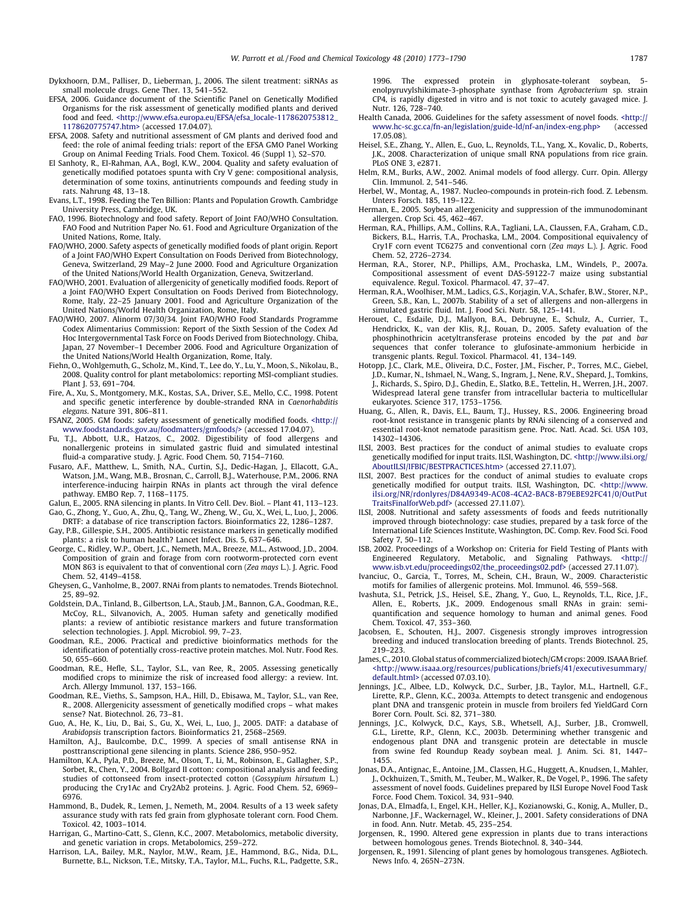- <span id="page-14-0"></span>Dykxhoorn, D.M., Palliser, D., Lieberman, J., 2006. The silent treatment: siRNAs as small molecule drugs. Gene Ther. 13, 541–552.
- EFSA, 2006. Guidance document of the Scientific Panel on Genetically Modified Organisms for the risk assessment of genetically modified plants and derived food and feed. [<http://www.efsa.europa.eu/EFSA/efsa\\_locale-1178620753812\\_](http://www.efsa.europa.eu) [1178620775747.htm>](http://www.efsa.europa.eu) (accessed 17.04.07).
- EFSA, 2008. Safety and nutritional assessment of GM plants and derived food and feed: the role of animal feeding trials: report of the EFSA GMO Panel Working Group on Animal Feeding Trials. Food Chem. Toxicol. 46 (Suppl 1), S2–S70.
- El Sanhoty, R., El-Rahman, A.A., Bogl, K.W., 2004. Quality and safety evaluation of genetically modified potatoes spunta with Cry V gene: compositional analysis, determination of some toxins, antinutrients compounds and feeding study in rats. Nahrung 48, 13–18.
- Evans, L.T., 1998. Feeding the Ten Billion: Plants and Population Growth. Cambridge University Press, Cambridge, UK.
- FAO, 1996. Biotechnology and food safety. Report of Joint FAO/WHO Consultation. FAO Food and Nutrition Paper No. 61. Food and Agriculture Organization of the United Nations, Rome, Italy.
- FAO/WHO, 2000. Safety aspects of genetically modified foods of plant origin. Report of a Joint FAO/WHO Expert Consultation on Foods Derived from Biotechnology, Geneva, Switzerland, 29 May–2 June 2000. Food and Agriculture Organization of the United Nations/World Health Organization, Geneva, Switzerland.
- FAO/WHO, 2001. Evaluation of allergenicity of genetically modified foods. Report of a Joint FAO/WHO Expert Consultation on Foods Derived from Biotechnology, Rome, Italy, 22–25 January 2001. Food and Agriculture Organization of the United Nations/World Health Organization, Rome, Italy.
- FAO/WHO, 2007. Alinorm 07/30/34. Joint FAO/WHO Food Standards Programme Codex Alimentarius Commission: Report of the Sixth Session of the Codex Ad Hoc Intergovernmental Task Force on Foods Derived from Biotechnology. Chiba, Japan, 27 November–1 December 2006. Food and Agriculture Organization of the United Nations/World Health Organization, Rome, Italy.
- Fiehn, O., Wohlgemuth, G., Scholz, M., Kind, T., Lee do, Y., Lu, Y., Moon, S., Nikolau, B., 2008. Quality control for plant metabolomics: reporting MSI-compliant studies. Plant J. 53, 691–704.
- Fire, A., Xu, S., Montgomery, M.K., Kostas, S.A., Driver, S.E., Mello, C.C., 1998. Potent and specific genetic interference by double-stranded RNA in Caenorhabditis elegans. Nature 391, 806–811.
- FSANZ, 2005. GM foods: safety assessment of genetically modified foods. [<http://](http://www.foodstandards.gov.au/foodmatters/gmfoods/) [www.foodstandards.gov.au/foodmatters/gmfoods/>](http://www.foodstandards.gov.au/foodmatters/gmfoods/) (accessed 17.04.07).
- Fu, T.J., Abbott, U.R., Hatzos, C., 2002. Digestibility of food allergens and nonallergenic proteins in simulated gastric fluid and simulated intestinal fluid-a comparative study. J. Agric. Food Chem. 50, 7154–7160.
- Fusaro, A.F., Matthew, L., Smith, N.A., Curtin, S.J., Dedic-Hagan, J., Ellacott, G.A., Watson, J.M., Wang, M.B., Brosnan, C., Carroll, B.J., Waterhouse, P.M., 2006. RNA interference-inducing hairpin RNAs in plants act through the viral defence pathway. EMBO Rep. 7, 1168–1175.
- Galun, E., 2005. RNA silencing in plants. In Vitro Cell. Dev. Biol. Plant 41, 113–123. Gao, G., Zhong, Y., Guo, A., Zhu, Q., Tang, W., Zheng, W., Gu, X., Wei, L., Luo, J., 2006.
- DRTF: a database of rice transcription factors. Bioinformatics 22, 1286–1287. Gay, P.B., Gillespie, S.H., 2005. Antibiotic resistance markers in genetically modified
- plants: a risk to human health? Lancet Infect. Dis. 5, 637–646. George, C., Ridley, W.P., Obert, J.C., Nemeth, M.A., Breeze, M.L., Astwood, J.D., 2004.
- Composition of grain and forage from corn rootworm-protected corn event MON 863 is equivalent to that of conventional corn (Zea mays L.). J. Agric. Food Chem. 52, 4149–4158.
- Gheysen, G., Vanholme, B., 2007. RNAi from plants to nematodes. Trends Biotechnol. 25, 89–92.
- Goldstein, D.A., Tinland, B., Gilbertson, L.A., Staub, J.M., Bannon, G.A., Goodman, R.E., McCoy, R.L., Silvanovich, A., 2005. Human safety and genetically modified plants: a review of antibiotic resistance markers and future transformation selection technologies. J. Appl. Microbiol. 99, 7–23.
- Goodman, R.E., 2006. Practical and predictive bioinformatics methods for the identification of potentially cross-reactive protein matches. Mol. Nutr. Food Res. 50, 655–660.
- Goodman, R.E., Hefle, S.L., Taylor, S.L., van Ree, R., 2005. Assessing genetically modified crops to minimize the risk of increased food allergy: a review. Int. Arch. Allergy Immunol. 137, 153–166.
- Goodman, R.E., Vieths, S., Sampson, H.A., Hill, D., Ebisawa, M., Taylor, S.L., van Ree, R., 2008. Allergenicity assessment of genetically modified crops – what makes sense? Nat. Biotechnol. 26, 73–81.
- Guo, A., He, K., Liu, D., Bai, S., Gu, X., Wei, L., Luo, J., 2005. DATF: a database of Arabidopsis transcription factors. Bioinformatics 21, 2568–2569.

Hamilton, A.J., Baulcombe, D.C., 1999. A species of small antisense RNA in posttranscriptional gene silencing in plants. Science 286, 950–952.

- Hamilton, K.A., Pyla, P.D., Breeze, M., Olson, T., Li, M., Robinson, E., Gallagher, S.P., Sorbet, R., Chen, Y., 2004. Bollgard II cotton: compositional analysis and feeding studies of cottonseed from insect-protected cotton (Gossypium hirsutum L.) producing the Cry1Ac and Cry2Ab2 proteins. J. Agric. Food Chem. 52, 6969– 6976.
- Hammond, B., Dudek, R., Lemen, J., Nemeth, M., 2004. Results of a 13 week safety assurance study with rats fed grain from glyphosate tolerant corn. Food Chem. Toxicol. 42, 1003–1014.
- Harrigan, G., Martino-Catt, S., Glenn, K.C., 2007. Metabolomics, metabolic diversity, and genetic variation in crops. Metabolomics, 259–272.
- Harrison, L.A., Bailey, M.R., Naylor, M.W., Ream, J.E., Hammond, B.G., Nida, D.L., Burnette, B.L., Nickson, T.E., Mitsky, T.A., Taylor, M.L., Fuchs, R.L., Padgette, S.R.,

1996. The expressed protein in glyphosate-tolerant soybean, 5 enolpyruvylshikimate-3-phosphate synthase from Agrobacterium sp. strain CP4, is rapidly digested in vitro and is not toxic to acutely gavaged mice. J. Nutr. 126, 728–740.

- Health Canada, 2006. Guidelines for the safety assessment of novel foods. [<http://](http://www.hc-sc.gc.ca/fn-an/legislation/guide-ld/nf-an/index-eng.php) [www.hc-sc.gc.ca/fn-an/legislation/guide-ld/nf-an/index-eng.php>](http://www.hc-sc.gc.ca/fn-an/legislation/guide-ld/nf-an/index-eng.php) (accessed 17.05.08).
- Heisel, S.E., Zhang, Y., Allen, E., Guo, L., Reynolds, T.L., Yang, X., Kovalic, D., Roberts, J.K., 2008. Characterization of unique small RNA populations from rice grain. PLoS ONE 3, e2871.
- Helm, R.M., Burks, A.W., 2002. Animal models of food allergy. Curr. Opin. Allergy Clin. Immunol. 2, 541–546.
- Herbel, W., Montag, A., 1987. Nucleo-compounds in protein-rich food. Z. Lebensm. Unters Forsch. 185, 119–122.
- Herman, E., 2005. Soybean allergenicity and suppression of the immunodominant allergen. Crop Sci. 45, 462–467.
- Herman, R.A., Phillips, A.M., Collins, R.A., Tagliani, L.A., Claussen, F.A., Graham, C.D., Bickers, B.L., Harris, T.A., Prochaska, L.M., 2004. Compositional equivalency of Cry1F corn event TC6275 and conventional corn (Zea mays L.). J. Agric. Food Chem. 52, 2726–2734.
- Herman, R.A., Storer, N.P., Phillips, A.M., Prochaska, L.M., Windels, P., 2007a. Compositional assessment of event DAS-59122-7 maize using substantial equivalence. Regul. Toxicol. Pharmacol. 47, 37–47.
- Herman, R.A., Woolhiser, M.M., Ladics, G.S., Korjagin, V.A., Schafer, B.W., Storer, N.P., Green, S.B., Kan, L., 2007b. Stability of a set of allergens and non-allergens in simulated gastric fluid. Int. J. Food Sci. Nutr. 58, 125–141.
- Herouet, C., Esdaile, D.J., Mallyon, B.A., Debruyne, E., Schulz, A., Currier, T., Hendrickx, K., van der Klis, R.J., Rouan, D., 2005. Safety evaluation of the phosphinothricin acetyltransferase proteins encoded by the pat and bar sequences that confer tolerance to glufosinate-ammonium herbicide in transgenic plants. Regul. Toxicol. Pharmacol. 41, 134–149.
- Hotopp, J.C., Clark, M.E., Oliveira, D.C., Foster, J.M., Fischer, P., Torres, M.C., Giebel, J.D., Kumar, N., Ishmael, N., Wang, S., Ingram, J., Nene, R.V., Shepard, J., Tomkins, J., Richards, S., Spiro, D.J., Ghedin, E., Slatko, B.E., Tettelin, H., Werren, J.H., 2007. Widespread lateral gene transfer from intracellular bacteria to multicellular eukaryotes. Science 317, 1753–1756.
- Huang, G., Allen, R., Davis, E.L., Baum, T.J., Hussey, R.S., 2006. Engineering broad root-knot resistance in transgenic plants by RNAi silencing of a conserved and essential root-knot nematode parasitism gene. Proc. Natl. Acad. Sci. USA 103, 14302–14306.
- ILSI, 2003. Best practices for the conduct of animal studies to evaluate crops genetically modified for input traits. ILSI, Washington, DC. [<http://www.ilsi.org/](http://www.ilsi.org) [AboutILSI/IFBIC/BESTPRACTICES.htm>](http://www.ilsi.org) (accessed 27.11.07).
- ILSI, 2007. Best practices for the conduct of animal studies to evaluate crops genetically modified for output traits. ILSI, Washington, DC. [<http://www.](http://www.ilsi.org) [ilsi.org/NR/rdonlyres/D84A9349-AC08-4CA2-BAC8-B79EBE92FC41/0/OutPut](http://www.ilsi.org) [TraitsFinalforWeb.pdf>](http://www.ilsi.org) (accessed 27.11.07).
- ILSI, 2008. Nutritional and safety assessments of foods and feeds nutritionally improved through biotechnology: case studies, prepared by a task force of the International Life Sciences Institute, Washington, DC. Comp. Rev. Food Sci. Food Safety 7, 50–112.
- ISB, 2002. Proceedings of a Workshop on: Criteria for Field Testing of Plants with Engineered Regulatory, Metabolic, and Signaling Pathways. [<http://](http://www.isb.vt.edu) [www.isb.vt.edu/proceedings02/the\\_proceedings02.pdf>](http://www.isb.vt.edu) (accessed 27.11.07).
- Ivanciuc, O., Garcia, T., Torres, M., Schein, C.H., Braun, W., 2009. Characteristic motifs for families of allergenic proteins. Mol. Immunol. 46, 559–568.
- Ivashuta, S.I., Petrick, J.S., Heisel, S.E., Zhang, Y., Guo, L., Reynolds, T.L., Rice, J.F., Allen, E., Roberts, J.K., 2009. Endogenous small RNAs in grain: semiquantification and sequence homology to human and animal genes. Food Chem. Toxicol. 47, 353–360.
- Jacobsen, E., Schouten, H.J., 2007. Cisgenesis strongly improves introgression breeding and induced translocation breeding of plants. Trends Biotechnol. 25, 219–223.
- James, C., 2010. Global status of commercialized biotech/GM crops: 2009. ISAAA Brief. [<http://www.isaaa.org/resources/publications/briefs/41/executivesummary/](http://www.isaaa.org) [default.html>](http://www.isaaa.org) (accessed 07.03.10).
- Jennings, J.C., Albee, L.D., Kolwyck, D.C., Surber, J.B., Taylor, M.L., Hartnell, G.F., Lirette, R.P., Glenn, K.C., 2003a. Attempts to detect transgenic and endogenous plant DNA and transgenic protein in muscle from broilers fed YieldGard Corn Borer Corn. Poult. Sci. 82, 371–380.
- Jennings, J.C., Kolwyck, D.C., Kays, S.B., Whetsell, A.J., Surber, J.B., Cromwell, G.L., Lirette, R.P., Glenn, K.C., 2003b. Determining whether transgenic and endogenous plant DNA and transgenic protein are detectable in muscle from swine fed Roundup Ready soybean meal. J. Anim. Sci. 81, 1447– 1455.
- Jonas, D.A., Antignac, E., Antoine, J.M., Classen, H.G., Huggett, A., Knudsen, I., Mahler, J., Ockhuizen, T., Smith, M., Teuber, M., Walker, R., De Vogel, P., 1996. The safety assessment of novel foods. Guidelines prepared by ILSI Europe Novel Food Task Force. Food Chem. Toxicol. 34, 931–940.
- Jonas, D.A., Elmadfa, I., Engel, K.H., Heller, K.J., Kozianowski, G., Konig, A., Muller, D., Narbonne, J.F., Wackernagel, W., Kleiner, J., 2001. Safety considerations of DNA in food. Ann. Nutr. Metab. 45, 235–254.
- Jorgensen, R., 1990. Altered gene expression in plants due to trans interactions between homologous genes. Trends Biotechnol. 8, 340–344.
- Jorgensen, R., 1991. Silencing of plant genes by homologous transgenes. AgBiotech. News Info. 4, 265N–273N.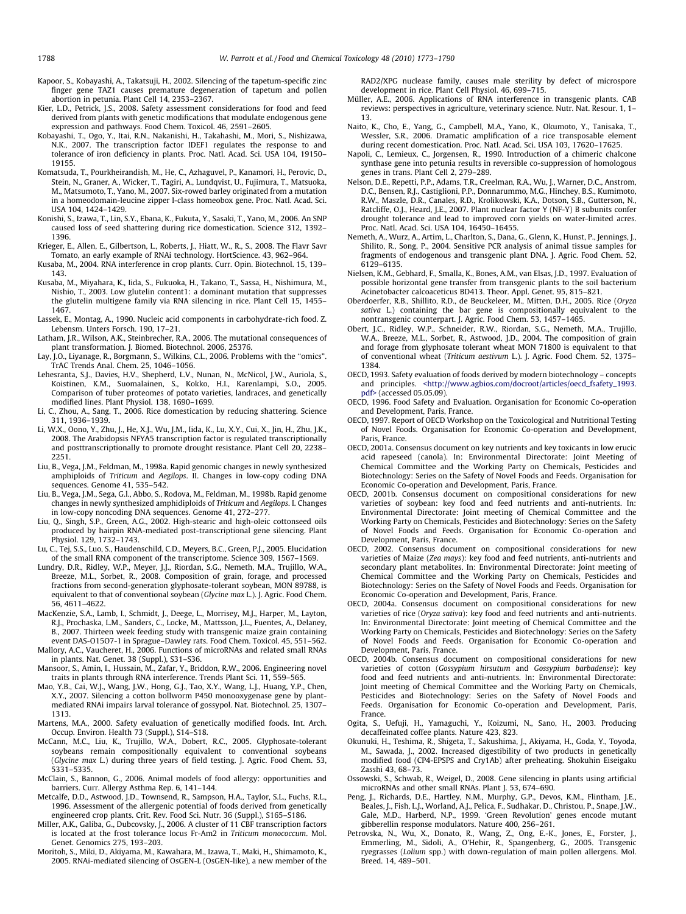- <span id="page-15-0"></span>Kapoor, S., Kobayashi, A., Takatsuji, H., 2002. Silencing of the tapetum-specific zinc finger gene TAZ1 causes premature degeneration of tapetum and pollen abortion in petunia. Plant Cell 14, 2353–2367.
- Kier, L.D., Petrick, J.S., 2008. Safety assessment considerations for food and feed derived from plants with genetic modifications that modulate endogenous gene expression and pathways. Food Chem. Toxicol. 46, 2591–2605.
- Kobayashi, T., Ogo, Y., Itai, R.N., Nakanishi, H., Takahashi, M., Mori, S., Nishizawa, N.K., 2007. The transcription factor IDEF1 regulates the response to and tolerance of iron deficiency in plants. Proc. Natl. Acad. Sci. USA 104, 19150– 19155.
- Komatsuda, T., Pourkheirandish, M., He, C., Azhaguvel, P., Kanamori, H., Perovic, D., Stein, N., Graner, A., Wicker, T., Tagiri, A., Lundqvist, U., Fujimura, T., Matsuoka, M., Matsumoto, T., Yano, M., 2007. Six-rowed barley originated from a mutation in a homeodomain-leucine zipper I-class homeobox gene. Proc. Natl. Acad. Sci. USA 104, 1424–1429.
- Konishi, S., Izawa, T., Lin, S.Y., Ebana, K., Fukuta, Y., Sasaki, T., Yano, M., 2006. An SNP caused loss of seed shattering during rice domestication. Science 312, 1392– 1396.
- Krieger, E., Allen, E., Gilbertson, L., Roberts, J., Hiatt, W., R., S., 2008. The Flavr Savr Tomato, an early example of RNAi technology. HortScience. 43, 962–964.
- Kusaba, M., 2004. RNA interference in crop plants. Curr. Opin. Biotechnol. 15, 139– 143.
- Kusaba, M., Miyahara, K., Iida, S., Fukuoka, H., Takano, T., Sassa, H., Nishimura, M., Nishio, T., 2003. Low glutelin content1: a dominant mutation that suppresses the glutelin multigene family via RNA silencing in rice. Plant Cell 15, 1455– 1467.
- Lassek, E., Montag, A., 1990. Nucleic acid components in carbohydrate-rich food. Z. Lebensm. Unters Forsch. 190, 17–21.
- Latham, J.R., Wilson, A.K., Steinbrecher, R.A., 2006. The mutational consequences of plant transformation. J. Biomed. Biotechnol. 2006, 25376.
- Lay, J.O., Liyanage, R., Borgmann, S., Wilkins, C.L., 2006. Problems with the "omics". TrAC Trends Anal. Chem. 25, 1046–1056.
- Lehesranta, S.J., Davies, H.V., Shepherd, L.V., Nunan, N., McNicol, J.W., Auriola, S., Koistinen, K.M., Suomalainen, S., Kokko, H.I., Karenlampi, S.O., 2005. Comparison of tuber proteomes of potato varieties, landraces, and genetically modified lines. Plant Physiol. 138, 1690–1699.
- Li, C., Zhou, A., Sang, T., 2006. Rice domestication by reducing shattering. Science 311, 1936–1939.
- Li, W.X., Oono, Y., Zhu, J., He, X.J., Wu, J.M., Iida, K., Lu, X.Y., Cui, X., Jin, H., Zhu, J.K., 2008. The Arabidopsis NFYA5 transcription factor is regulated transcriptionally and posttranscriptionally to promote drought resistance. Plant Cell 20, 2238– 2251.
- Liu, B., Vega, J.M., Feldman, M., 1998a. Rapid genomic changes in newly synthesized amphiploids of Triticum and Aegilops. II. Changes in low-copy coding DNA sequences. Genome 41, 535–542.
- Liu, B., Vega, J.M., Sega, G.l., Abbo, S., Rodova, M., Feldman, M., 1998b. Rapid genome changes in newly synthesized amphidiploids of Triticum and Aegilops. I. Changes in low-copy noncoding DNA sequences. Genome 41, 272–277.
- Liu, Q., Singh, S.P., Green, A.G., 2002. High-stearic and high-oleic cottonseed oils produced by hairpin RNA-mediated post-transcriptional gene silencing. Plant Physiol. 129, 1732–1743.
- Lu, C., Tej, S.S., Luo, S., Haudenschild, C.D., Meyers, B.C., Green, P.J., 2005. Elucidation of the small RNA component of the transcriptome. Science 309, 1567–1569.
- Lundry, D.R., Ridley, W.P., Meyer, J.J., Riordan, S.G., Nemeth, M.A., Trujillo, W.A., Breeze, M.L., Sorbet, R., 2008. Composition of grain, forage, and processed fractions from second-generation glyphosate-tolerant soybean, MON 89788, is equivalent to that of conventional soybean (Glycine max L.). J. Agric. Food Chem. 56, 4611–4622.
- MacKenzie, S.A., Lamb, I., Schmidt, J., Deege, L., Morrisey, M.J., Harper, M., Layton, R.J., Prochaska, L.M., Sanders, C., Locke, M., Mattsson, J.L., Fuentes, A., Delaney, B., 2007. Thirteen week feeding study with transgenic maize grain containing event DAS-O15O7-1 in Sprague–Dawley rats. Food Chem. Toxicol. 45, 551–562.
- Mallory, A.C., Vaucheret, H., 2006. Functions of microRNAs and related small RNAs in plants. Nat. Genet. 38 (Suppl.), S31–S36.
- Mansoor, S., Amin, I., Hussain, M., Zafar, Y., Briddon, R.W., 2006. Engineering novel traits in plants through RNA interference. Trends Plant Sci. 11, 559–565.
- Mao, Y.B., Cai, W.J., Wang, J.W., Hong, G.J., Tao, X.Y., Wang, L.J., Huang, Y.P., Chen, X.Y., 2007. Silencing a cotton bollworm P450 monooxygenase gene by plantmediated RNAi impairs larval tolerance of gossypol. Nat. Biotechnol. 25, 1307– 1313.
- Martens, M.A., 2000. Safety evaluation of genetically modified foods. Int. Arch. Occup. Environ. Health 73 (Suppl.), S14–S18.
- McCann, M.C., Liu, K., Trujillo, W.A., Dobert, R.C., 2005. Glyphosate-tolerant soybeans remain compositionally equivalent to conventional soybeans (Glycine max L.) during three years of field testing. J. Agric. Food Chem. 53, 5331–5335.
- McClain, S., Bannon, G., 2006. Animal models of food allergy: opportunities and barriers. Curr. Allergy Asthma Rep. 6, 141–144.
- Metcalfe, D.D., Astwood, J.D., Townsend, R., Sampson, H.A., Taylor, S.L., Fuchs, R.L., 1996. Assessment of the allergenic potential of foods derived from genetically engineered crop plants. Crit. Rev. Food Sci. Nutr. 36 (Suppl.), S165–S186.
- Miller, A.K., Galiba, G., Dubcovsky, J., 2006. A cluster of 11 CBF transcription factors is located at the frost tolerance locus Fr-Am2 in Triticum monococcum. Mol. Genet. Genomics 275, 193–203.
- Moritoh, S., Miki, D., Akiyama, M., Kawahara, M., Izawa, T., Maki, H., Shimamoto, K., 2005. RNAi-mediated silencing of OsGEN-L (OsGEN-like), a new member of the

RAD2/XPG nuclease family, causes male sterility by defect of microspore development in rice. Plant Cell Physiol. 46, 699–715.

- Müller, A.E., 2006. Applications of RNA interference in transgenic plants. CAB reviews: perspectives in agriculture, veterinary science. Nutr. Nat. Resour. 1, 1– 13.
- Naito, K., Cho, E., Yang, G., Campbell, M.A., Yano, K., Okumoto, Y., Tanisaka, T., Wessler, S.R., 2006. Dramatic amplification of a rice transposable element during recent domestication. Proc. Natl. Acad. Sci. USA 103, 17620–17625.
- Napoli, C., Lemieux, C., Jorgensen, R., 1990. Introduction of a chimeric chalcone synthase gene into petunia results in reversible co-suppression of homologous genes in trans. Plant Cell 2, 279–289.
- Nelson, D.E., Repetti, P.P., Adams, T.R., Creelman, R.A., Wu, J., Warner, D.C., Anstrom, D.C., Bensen, R.J., Castiglioni, P.P., Donnarummo, M.G., Hinchey, B.S., Kumimoto, R.W., Maszle, D.R., Canales, R.D., Krolikowski, K.A., Dotson, S.B., Gutterson, N., Ratcliffe, O.J., Heard, J.E., 2007. Plant nuclear factor Y (NF-Y) B subunits confer drought tolerance and lead to improved corn yields on water-limited acres. Proc. Natl. Acad. Sci. USA 104, 16450–16455.
- Nemeth, A., Wurz, A., Artim, L., Charlton, S., Dana, G., Glenn, K., Hunst, P., Jennings, J., Shilito, R., Song, P., 2004. Sensitive PCR analysis of animal tissue samples for fragments of endogenous and transgenic plant DNA. J. Agric. Food Chem. 52, 6129–6135.
- Nielsen, K.M., Gebhard, F., Smalla, K., Bones, A.M., van Elsas, J.D., 1997. Evaluation of possible horizontal gene transfer from transgenic plants to the soil bacterium Acinetobacter calcoaceticus BD413. Theor. Appl. Genet. 95, 815–821.
- Oberdoerfer, R.B., Shillito, R.D., de Beuckeleer, M., Mitten, D.H., 2005. Rice (Oryza sativa L.) containing the bar gene is compositionally equivalent to the nontransgenic counterpart. J. Agric. Food Chem. 53, 1457–1465.
- Obert, J.C., Ridley, W.P., Schneider, R.W., Riordan, S.G., Nemeth, M.A., Trujillo, W.A., Breeze, M.L., Sorbet, R., Astwood, J.D., 2004. The composition of grain and forage from glyphosate tolerant wheat MON 71800 is equivalent to that of conventional wheat (Triticum aestivum L.). J. Agric. Food Chem. 52, 1375– 1384.
- OECD, 1993. Safety evaluation of foods derived by modern biotechnology concepts and principles. [<http://www.agbios.com/docroot/articles/oecd\\_fsafety\\_1993.](http://www.agbios.com) [pdf>](http://www.agbios.com) (accessed 05.05.09).
- OECD, 1996. Food Safety and Evaluation. Organisation for Economic Co-operation and Development, Paris, France.
- OECD, 1997. Report of OECD Workshop on the Toxicological and Nutritional Testing of Novel Foods. Organisation for Economic Co-operation and Development, Paris, France.
- OECD, 2001a. Consensus document on key nutrients and key toxicants in low erucic acid rapeseed (canola). In: Environmental Directorate: Joint Meeting of Chemical Committee and the Working Party on Chemicals, Pesticides and Biotechnology: Series on the Safety of Novel Foods and Feeds. Organisation for Economic Co-operation and Development, Paris, France.
- OECD, 2001b. Consensus document on compositional considerations for new varieties of soybean: key food and feed nutrients and anti-nutrients. In: Environmental Directorate: Joint meeting of Chemical Committee and the Working Party on Chemicals, Pesticides and Biotechnology: Series on the Safety of Novel Foods and Feeds. Organisation for Economic Co-operation and Development, Paris, France.
- OECD, 2002. Consensus document on compositional considerations for new varieties of Maize (Zea mays): key food and feed nutrients, anti-nutrients and secondary plant metabolites. In: Environmental Directorate: Joint meeting of Chemical Committee and the Working Party on Chemicals, Pesticides and Biotechnology: Series on the Safety of Novel Foods and Feeds. Organisation for Economic Co-operation and Development, Paris, France.
- OECD, 2004a. Consensus document on compositional considerations for new varieties of rice (Oryza sativa): key food and feed nutrients and anti-nutrients. In: Environmental Directorate: Joint meeting of Chemical Committee and the Working Party on Chemicals, Pesticides and Biotechnology: Series on the Safety of Novel Foods and Feeds. Organisation for Economic Co-operation and Development, Paris, France.
- OECD, 2004b. Consensus document on compositional considerations for new varieties of cotton (Gossypium hirsutum and Gossypium barbadense): key food and feed nutrients and anti-nutrients. In: Environmental Directorate: Joint meeting of Chemical Committee and the Working Party on Chemicals, Pesticides and Biotechnology: Series on the Safety of Novel Foods and Feeds. Organisation for Economic Co-operation and Development, Paris, France.
- Ogita, S., Uefuji, H., Yamaguchi, Y., Koizumi, N., Sano, H., 2003. Producing decaffeinated coffee plants. Nature 423, 823.
- Okunuki, H., Teshima, R., Shigeta, T., Sakushima, J., Akiyama, H., Goda, Y., Toyoda, M., Sawada, J., 2002. Increased digestibility of two products in genetically modified food (CP4-EPSPS and Cry1Ab) after preheating. Shokuhin Eiseigaku Zasshi 43, 68–73.
- Ossowski, S., Schwab, R., Weigel, D., 2008. Gene silencing in plants using artificial microRNAs and other small RNAs. Plant J. 53, 674–690.
- Peng, J., Richards, D.E., Hartley, N.M., Murphy, G.P., Devos, K.M., Flintham, J.E., Beales, J., Fish, L.J., Worland, A.J., Pelica, F., Sudhakar, D., Christou, P., Snape, J.W., Gale, M.D., Harberd, N.P., 1999. 'Green Revolution' genes encode mutant gibberellin response modulators. Nature 400, 256–261.
- Petrovska, N., Wu, X., Donato, R., Wang, Z., Ong, E.-K., Jones, E., Forster, J., Emmerling, M., Sidoli, A., O'Hehir, R., Spangenberg, G., 2005. Transgenic ryegrasses (Lolium spp.) with down-regulation of main pollen allergens. Mol. Breed. 14, 489–501.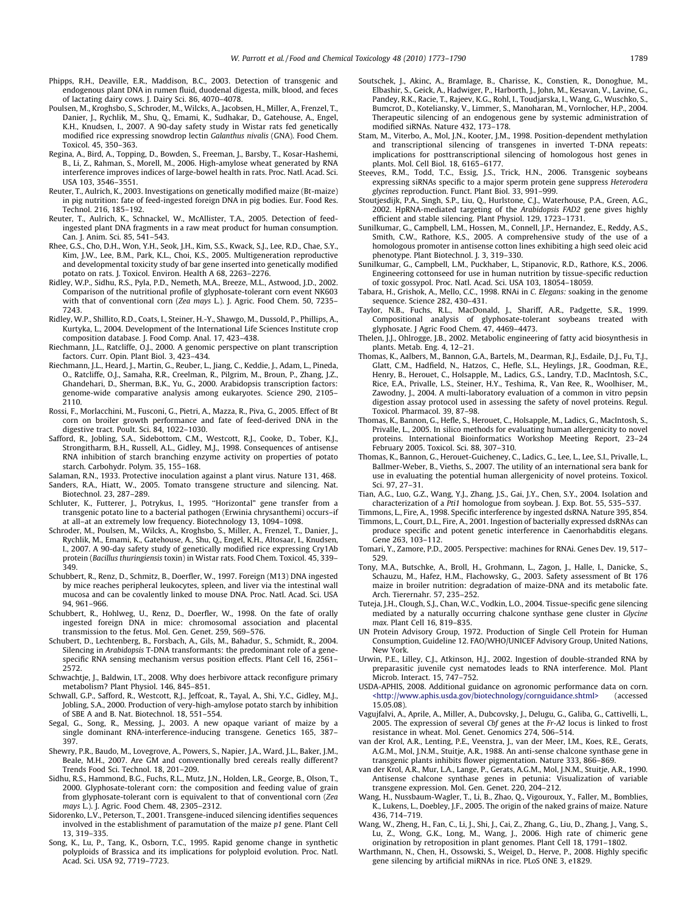- <span id="page-16-0"></span>Phipps, R.H., Deaville, E.R., Maddison, B.C., 2003. Detection of transgenic and endogenous plant DNA in rumen fluid, duodenal digesta, milk, blood, and feces of lactating dairy cows. J. Dairy Sci. 86, 4070–4078.
- Poulsen, M., Kroghsbo, S., Schroder, M., Wilcks, A., Jacobsen, H., Miller, A., Frenzel, T., Danier, J., Rychlik, M., Shu, Q., Emami, K., Sudhakar, D., Gatehouse, A., Engel, K.H., Knudsen, I., 2007. A 90-day safety study in Wistar rats fed genetically modified rice expressing snowdrop lectin Galanthus nivalis (GNA). Food Chem. Toxicol. 45, 350–363.
- Regina, A., Bird, A., Topping, D., Bowden, S., Freeman, J., Barsby, T., Kosar-Hashemi, B., Li, Z., Rahman, S., Morell, M., 2006. High-amylose wheat generated by RNA interference improves indices of large-bowel health in rats. Proc. Natl. Acad. Sci. USA 103, 3546–3551.
- Reuter, T., Aulrich, K., 2003. Investigations on genetically modified maize (Bt-maize) in pig nutrition: fate of feed-ingested foreign DNA in pig bodies. Eur. Food Res. Technol. 216, 185–192.
- Reuter, T., Aulrich, K., Schnackel, W., McAllister, T.A., 2005. Detection of feedingested plant DNA fragments in a raw meat product for human consumption. Can. J. Anim. Sci. 85, 541–543.
- Rhee, G.S., Cho, D.H., Won, Y.H., Seok, J.H., Kim, S.S., Kwack, S.J., Lee, R.D., Chae, S.Y., Kim, J.W., Lee, B.M., Park, K.L., Choi, K.S., 2005. Multigeneration reproductive and developmental toxicity study of bar gene inserted into genetically modified potato on rats. J. Toxicol. Environ. Health A 68, 2263–2276.
- Ridley, W.P., Sidhu, R.S., Pyla, P.D., Nemeth, M.A., Breeze, M.L., Astwood, J.D., 2002. Comparison of the nutritional profile of glyphosate-tolerant corn event NK603 with that of conventional corn (Zea mays L.). J. Agric. Food Chem. 50, 7235-7243.
- Ridley, W.P., Shillito, R.D., Coats, I., Steiner, H.-Y., Shawgo, M., Dussold, P., Phillips, A., Kurtyka, L., 2004. Development of the International Life Sciences Institute crop composition database. J. Food Comp. Anal. 17, 423–438.
- Riechmann, J.L., Ratcliffe, O.J., 2000. A genomic perspective on plant transcription factors. Curr. Opin. Plant Biol. 3, 423–434.
- Riechmann, J.L., Heard, J., Martin, G., Reuber, L., Jiang, C., Keddie, J., Adam, L., Pineda, O., Ratcliffe, O.J., Samaha, R.R., Creelman, R., Pilgrim, M., Broun, P., Zhang, J.Z., Ghandehari, D., Sherman, B.K., Yu, G., 2000. Arabidopsis transcription factors: genome-wide comparative analysis among eukaryotes. Science 290, 2105– 2110.
- Rossi, F., Morlacchini, M., Fusconi, G., Pietri, A., Mazza, R., Piva, G., 2005. Effect of Bt corn on broiler growth performance and fate of feed-derived DNA in the digestive tract. Poult. Sci. 84, 1022–1030.
- Safford, R., Jobling, S.A., Sidebottom, C.M., Westcott, R.J., Cooke, D., Tober, K.J., Strongitharm, B.H., Russell, A.L., Gidley, M.J., 1998. Consequences of antisense RNA inhibition of starch branching enzyme activity on properties of potato starch. Carbohydr. Polym. 35, 155–168.
- Salaman, R.N., 1933. Protective inoculation against a plant virus. Nature 131, 468. Sanders, R.A., Hiatt, W., 2005. Tomato transgene structure and silencing. Nat.

Biotechnol. 23, 287–289. Schluter, K., Futterer, J., Potrykus, I., 1995. ''Horizontal" gene transfer from a

transgenic potato line to a bacterial pathogen (Erwinia chrysanthemi) occurs–if at all–at an extremely low frequency. Biotechnology 13, 1094–1098.

- Schroder, M., Poulsen, M., Wilcks, A., Kroghsbo, S., Miller, A., Frenzel, T., Danier, J., Rychlik, M., Emami, K., Gatehouse, A., Shu, Q., Engel, K.H., Altosaar, I., Knudsen, I., 2007. A 90-day safety study of genetically modified rice expressing Cry1Ab protein (Bacillus thuringiensis toxin) in Wistar rats. Food Chem. Toxicol. 45, 339– 349.
- Schubbert, R., Renz, D., Schmitz, B., Doerfler, W., 1997. Foreign (M13) DNA ingested by mice reaches peripheral leukocytes, spleen, and liver via the intestinal wall mucosa and can be covalently linked to mouse DNA. Proc. Natl. Acad. Sci. USA 94, 961–966.
- Schubbert, R., Hohlweg, U., Renz, D., Doerfler, W., 1998. On the fate of orally ingested foreign DNA in mice: chromosomal association and placental transmission to the fetus. Mol. Gen. Genet. 259, 569–576.
- Schubert, D., Lechtenberg, B., Forsbach, A., Gils, M., Bahadur, S., Schmidt, R., 2004. Silencing in Arabidopsis T-DNA transformants: the predominant role of a genespecific RNA sensing mechanism versus position effects. Plant Cell 16, 2561– 2572.
- Schwachtje, J., Baldwin, I.T., 2008. Why does herbivore attack reconfigure primary metabolism? Plant Physiol. 146, 845–851.
- Schwall, G.P., Safford, R., Westcott, R.J., Jeffcoat, R., Tayal, A., Shi, Y.C., Gidley, M.J., Jobling, S.A., 2000. Production of very-high-amylose potato starch by inhibition of SBE A and B. Nat. Biotechnol. 18, 551–554.
- Segal, G., Song, R., Messing, J., 2003. A new opaque variant of maize by a single dominant RNA-interference-inducing transgene. Genetics 165, 387– 397.
- Shewry, P.R., Baudo, M., Lovegrove, A., Powers, S., Napier, J.A., Ward, J.L., Baker, J.M., Beale, M.H., 2007. Are GM and conventionally bred cereals really different? Trends Food Sci. Technol. 18, 201–209.
- Sidhu, R.S., Hammond, B.G., Fuchs, R.L., Mutz, J.N., Holden, L.R., George, B., Olson, T., 2000. Glyphosate-tolerant corn: the composition and feeding value of grain from glyphosate-tolerant corn is equivalent to that of conventional corn (Zea mays L.). J. Agric. Food Chem. 48, 2305–2312.
- Sidorenko, L.V., Peterson, T., 2001. Transgene-induced silencing identifies sequences involved in the establishment of paramutation of the maize p1 gene. Plant Cell 13, 319–335.
- Song, K., Lu, P., Tang, K., Osborn, T.C., 1995. Rapid genome change in synthetic polyploids of Brassica and its implications for polyploid evolution. Proc. Natl. Acad. Sci. USA 92, 7719–7723.
- Soutschek, J., Akinc, A., Bramlage, B., Charisse, K., Constien, R., Donoghue, M., Elbashir, S., Geick, A., Hadwiger, P., Harborth, J., John, M., Kesavan, V., Lavine, G., Pandey, R.K., Racie, T., Rajeev, K.G., Rohl, I., Toudjarska, I., Wang, G., Wuschko, S., Bumcrot, D., Koteliansky, V., Limmer, S., Manoharan, M., Vornlocher, H.P., 2004. Therapeutic silencing of an endogenous gene by systemic administration of modified siRNAs. Nature 432, 173–178.
- Stam, M., Viterbo, A., Mol, J.N., Kooter, J.M., 1998. Position-dependent methylation and transcriptional silencing of transgenes in inverted T-DNA repeats: implications for posttranscriptional silencing of homologous host genes in plants. Mol. Cell Biol. 18, 6165–6177.
- Steeves, R.M., Todd, T.C., Essig, J.S., Trick, H.N., 2006. Transgenic soybeans expressing siRNAs specific to a major sperm protein gene suppress Heterodera glycines reproduction. Funct. Plant Biol. 33, 991–999.
- Stoutjesdijk, P.A., Singh, S.P., Liu, Q., Hurlstone, C.J., Waterhouse, P.A., Green, A.G., 2002. HpRNA-mediated targeting of the Arabidopsis FAD2 gene gives highly efficient and stable silencing. Plant Physiol. 129, 1723–1731.
- Sunilkumar, G., Campbell, L.M., Hossen, M., Connell, J.P., Hernandez, E., Reddy, A.S., Smith, C.W., Rathore, K.S., 2005. A comprehensive study of the use of a homologous promoter in antisense cotton lines exhibiting a high seed oleic acid phenotype. Plant Biotechnol. J. 3, 319–330.
- Sunilkumar, G., Campbell, L.M., Puckhaber, L., Stipanovic, R.D., Rathore, K.S., 2006. Engineering cottonseed for use in human nutrition by tissue-specific reduction of toxic gossypol. Proc. Natl. Acad. Sci. USA 103, 18054–18059.
- Tabara, H., Grishok, A., Mello, C.C., 1998. RNAi in C. Elegans: soaking in the genome sequence. Science 282, 430–431.
- Taylor, N.B., Fuchs, R.L., MacDonald, J., Shariff, A.R., Padgette, S.R., 1999. Compositional analysis of glyphosate-tolerant soybeans treated with glyphosate. J Agric Food Chem. 47, 4469–4473.
- Thelen, J.J., Ohlrogge, J.B., 2002. Metabolic engineering of fatty acid biosynthesis in plants. Metab. Eng. 4, 12–21.
- Thomas, K., Aalbers, M., Bannon, G.A., Bartels, M., Dearman, R.J., Esdaile, D.J., Fu, T.J., Glatt, C.M., Hadfield, N., Hatzos, C., Hefle, S.L., Heylings, J.R., Goodman, R.E., Henry, B., Herouet, C., Holsapple, M., Ladics, G.S., Landry, T.D., MacIntosh, S.C., Rice, E.A., Privalle, L.S., Steiner, H.Y., Teshima, R., Van Ree, R., Woolhiser, M., Zawodny, J., 2004. A multi-laboratory evaluation of a common in vitro pepsin digestion assay protocol used in assessing the safety of novel proteins. Regul. Toxicol. Pharmacol. 39, 87–98.
- Thomas, K., Bannon, G., Hefle, S., Herouet, C., Holsapple, M., Ladics, G., MacIntosh, S., Privalle, L., 2005. In silico methods for evaluating human allergenicity to novel proteins. International Bioinformatics Workshop Meeting Report, 23–24 February 2005. Toxicol. Sci. 88, 307–310.
- Thomas, K., Bannon, G., Herouet-Guicheney, C., Ladics, G., Lee, L., Lee, S.I., Privalle, L., Ballmer-Weber, B., Vieths, S., 2007. The utility of an international sera bank for use in evaluating the potential human allergenicity of novel proteins. Toxicol. Sci. 97, 27–31.
- Tian, A.G., Luo, G.Z., Wang, Y.J., Zhang, J.S., Gai, J.Y., Chen, S.Y., 2004. Isolation and characterization of a Pti1 homologue from soybean. J. Exp. Bot. 55, 535–537.
- Timmons, L., Fire, A., 1998. Specific interference by ingested dsRNA. Nature 395, 854. Timmons, L., Court, D.L., Fire, A., 2001. Ingestion of bacterially expressed dsRNAs can
- produce specific and potent genetic interference in Caenorhabditis elegans. Gene 263, 103–112.
- Tomari, Y., Zamore, P.D., 2005. Perspective: machines for RNAi. Genes Dev. 19, 517– 529.
- Tony, M.A., Butschke, A., Broll, H., Grohmann, L., Zagon, J., Halle, I., Danicke, S., Schauzu, M., Hafez, H.M., Flachowsky, G., 2003. Safety assessment of Bt 176 maize in broiler nutrition: degradation of maize-DNA and its metabolic fate. Arch. Tierernahr. 57, 235–252.
- Tuteja, J.H., Clough, S.J., Chan, W.C., Vodkin, L.O., 2004. Tissue-specific gene silencing mediated by a naturally occurring chalcone synthase gene cluster in Glycine max. Plant Cell 16, 819–835.
- UN Protein Advisory Group, 1972. Production of Single Cell Protein for Human Consumption, Guideline 12. FAO/WHO/UNICEF Advisory Group, United Nations, New York.
- Urwin, P.E., Lilley, C.J., Atkinson, H.J., 2002. Ingestion of double-stranded RNA by preparasitic juvenile cyst nematodes leads to RNA interference. Mol. Plant Microb. Interact. 15, 747–752.
- USDA-APHIS, 2008. Additional guidance on agronomic performance data on corn. [<http://www.aphis.usda.gov/biotechnology/cornguidance.shtml>](http://www.aphis.usda.gov) (accessed 15.05.08).
- Vagujfalvi, A., Aprile, A., Miller, A., Dubcovsky, J., Delugu, G., Galiba, G., Cattivelli, L., 2005. The expression of several Cbf genes at the Fr-A2 locus is linked to frost resistance in wheat. Mol. Genet. Genomics 274, 506–514.
- van der Krol, A.R., Lenting, P.E., Veenstra, J., van der Meer, I.M., Koes, R.E., Gerats, A.G.M., Mol, J.N.M., Stuitje, A.R., 1988. An anti-sense chalcone synthase gene in transgenic plants inhibits flower pigmentation. Nature 333, 866–869.
- van der Krol, A.R., Mur, L.A., Lange, P., Gerats, A.G.M., Mol, J.N.M., Stuitje, A.R., 1990. Antisense chalcone synthase genes in petunia: Visualization of variable transgene expression. Mol. Gen. Genet. 220, 204–212.
- Wang, H., Nussbaum-Wagler, T., Li, B., Zhao, Q., Vigouroux, Y., Faller, M., Bomblies, K., Lukens, L., Doebley, J.F., 2005. The origin of the naked grains of maize. Nature 436, 714–719.
- Wang, W., Zheng, H., Fan, C., Li, J., Shi, J., Cai, Z., Zhang, G., Liu, D., Zhang, J., Vang, S., Lu, Z., Wong, G.K., Long, M., Wang, J., 2006. High rate of chimeric gene origination by retroposition in plant genomes. Plant Cell 18, 1791–1802.
- Warthmann, N., Chen, H., Ossowski, S., Weigel, D., Herve, P., 2008. Highly specific gene silencing by artificial miRNAs in rice. PLoS ONE 3, e1829.